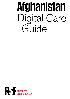# **Afghanistan** Digital Care Guide

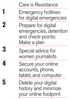Care is Resistance Emergency hotlines for digital emergencies Prepare for digital emergencies, detention and check-points: Make a plan Special advice for women journalists Secure your online accounts, phone, tablet, and computer Delete your digital history and minimize your online footprint **1 2 3 4 5**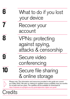| What to do if you lost<br>your device                              |
|--------------------------------------------------------------------|
| Recover your<br>account                                            |
| <b>VPNs: protecting</b><br>against spying,<br>attacks & censorship |
| Secure video<br>conferencing                                       |
| Secure file sharing<br>& online storage                            |
|                                                                    |

Please note: The information and resources provided in this guide are current as of May 2022. We plan on making an updated version available every six months for at least next two years. The updates will be available for download at: <https://helpdesk.rsf.org/digital-security-guide/afghanistan-digital-care-guide/>

**Credits**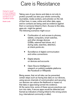### Care is Resistance

*Caring for myself is not an indulgence, it is self‑preservation and that is an act of political warfare*

Audre Lorde

Taking care of your device and data is not only to protect yourself, but also your whole community. Journalists, media workers, and activists run the risk of their lives, in case, online and other data, apps, and/or contacts are being used as evidence against them or someone linked to them. Access to this data, apps etc. might be gained. The following scenarios might occur:

- Confiscation of, and access to phones, tablets, computers, smart watches, and other storage devices (USBs, external hard drives, etc.) during raids, searches, detention, at check-points etc.
- Surveillance of digital communication and online connections
- Digital attacks on devices and accounts
- Open Source Intelligence research on publicly available platforms like Facebook or Wikipedia

Being aware, that not all risks can be prevented, certain steps such as having less data on our devices, using secure channels of communication and securing our devices can reduce the likelihood or impact of, that data or apps being turned into evidence. At the same time, some of these secure practices can turn into risks, if secure apps would be detected and framed as indicators of being linked to the wrong actors (e.g. international community or alike).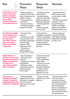| <b>Risk</b>                                                                                                                                                                      | Prevention<br><b>Steps</b>                                                                                                                                                                                                       | Response<br><b>Steps</b>                                                                                                                                                                                            | Remarks                                                                                                                                                                                                                                          |
|----------------------------------------------------------------------------------------------------------------------------------------------------------------------------------|----------------------------------------------------------------------------------------------------------------------------------------------------------------------------------------------------------------------------------|---------------------------------------------------------------------------------------------------------------------------------------------------------------------------------------------------------------------|--------------------------------------------------------------------------------------------------------------------------------------------------------------------------------------------------------------------------------------------------|
| <b>Confiscation of and</b><br>access to phones,<br>tablets, computers<br>and smart watches<br>during raids,<br>searches, detention<br>and checkpoints etc.                       | • Reducing data on<br>our devices to the bare<br>and inconspicuous but<br>realistic minimum<br>• Securing data on<br>our devices<br>• Securing devices<br>• Creating encrypted<br>backups of all data                            | • Not giving access<br>to the devices<br>• Remotely wiping<br>devices or automatic<br>wiping of devices on<br>failed login-attempts<br>• Informing affected<br>people<br>• Recovering data<br>and accounts          | • Important decision:<br>Will you give access<br>to your devices under<br>pressure?<br>• Consider, if encrypted<br>backups or other<br>encrypted files and<br>folders could trigger<br>attention and pose an<br>additional risk for you?         |
| <b>Surveillance of digital</b><br>communication and<br>online connections<br>(by authorities,<br>their allies, internet<br>service providers,<br>telecommunication<br>companies) | • Securing online<br>accounts<br>• Using secure online<br>services (end-to-end<br>encrypted messengers,<br>online storage,<br>searches, video<br>conferences, etc.)<br>• Securing our<br>internet access<br>through VPN or alike | • Document the<br>surveillance if possible<br>• Activate mechanisms<br>of abuse protection of<br>the service providers<br>• Backup and de-<br>activate the affected<br>accounts                                     | • Secure apps and<br>channels like VPNs<br>might trigger attention<br>themselves and might<br>be risky to use                                                                                                                                    |
| Digital attacks on<br>devices and accounts<br>(spyware and hacking<br>attacks and planting<br>of evidence by<br>authorities and their<br>allies, criminals)                      | • Securing devices<br>• Securing online<br>accounts<br>• Updating of firmware<br>and software<br>• Refusing contact<br>requests by unknown<br>persons through<br>social media                                                    | • Document attacks<br>and all evidence<br>• Take the attacked<br>device offline<br>• Recover accounts<br>via the provider or<br>emergency helplines<br>• Enable 2-Factor-<br>Authentication on<br>regained accounts |                                                                                                                                                                                                                                                  |
| <b>Open Source</b><br><b>Intelligence (OSINT)</b><br>research on publicly<br>availableplatforms like<br>Facebook or Wikipedia information from online                            | • Reducing digital<br>footprint by removing<br>information or request-<br>ing the removal of<br>platforms                                                                                                                        | • Trying to remove<br>evidence from online<br>platforms                                                                                                                                                             | • Be aware that a lot of<br>online information<br>cannot be removed<br>completely and if done<br>then only with delays<br>due to distributed<br>backups and platforms<br>like the way-backma-<br>chine and other internet<br>archiving services. |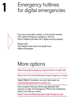### Emergency hotlines for digital emergencies



**1**

If you are a journalist, activist, or civil society member who needs emergency assistance, Access Now's Helpline provides 24/7 digital security support.

Please note: The Helpline team does not speak local Afghan languages.

## More options

[https://cpj.org/emergency-response/how-to-get-help](https://cpj.org/emergency-response/how-to-get-help/)

<https://www.frontlinedefenders.org/emergency-contact>

Digital Rights Foundation can also take cases via [helpdesk@digitalrightsfoundation.pk](https://digitalrightsfoundation.pk/)

If you suspect, that your phone got attacked with spyware or alike, the Emergency VPN by the Civilsphere project can help you check: <https://www.civilsphereproject.org/emergency-vpn>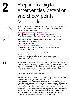### Prepare for digital emergencies, detention and check-points: Make a plan

**2**

**2.1.** 

**2.2.** 

To build online safety, determine what threats you face and which of your online activities might put you at risk—your threat model. This first look at digital security

<https://www.accessnow.org/first-look-at-digital-security/> can help you get started in answering those questions. When thinking about risks, please keep the following in mind:

Make a plan for the possibility that you or someone you know could be detained by authorities. Take a look at this guide: <https://digitalfirstaid.org/en/arrested/> by RaReNet and CiviCERT — which includes digital security precautions — for more.

There is also the Coping-with-Prison-Guide <https://coping-with-prison.org> which includes tips for families, supporters and lawyers of detained persons.

At checkpoints and during raids, be prepared that authorities could confiscate or force you to unlock your device. Do not take your phone with you when going out. Or take a phone, which has no sensitive data like contacts or alike with you. Minimize the amount of data you save on your devices, especially on mobile ones.

The golden rule is: if in doubt, delete!

No information is worth risking your life or putting friends at risk. (Tips below on how to delete content and accounts.)

Make up your mind, if you would give access to your devices or not. It is not an easy decision, but good to think about it before it happens. Be aware, that fingerprint or Face-ID can be easily unlocked by force, if you are present. On iOS there is the emergency option to switch from FaceID or Fingerprint to passcodes by pressing the power button several times (older iPhones) or by initiating power off/Emergency SOS by pressing and holding either volume button and the side button simultaneously for 2 seconds (newer iPhones).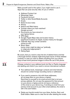Make yourself used to this option, if you might need to use it. Apps that can pose security risks, for you or others:

- Address/Contact List
- Messenger Apps
- Facebook Account
- Twitter or other Social Media Accounts
- Emails
- Notes & voice notes
- Photos
- Search and Web history
- Youtube videos you have watched/ Google account
- Documents you have stored on your laptop/phone
- VPN Apps
- Google/Apple Maps data and location history (significant locations for Apple, location history for Google)
- Calendar App may contain sensitive entries as well
- Music Apps (some music might be taken as "politically or religiously inappropriate")
- Dating Apps

Be aware, that you need to clean the bin of deleted items and that a thorough forensic analysis might bring back traces of these deleted contents. In case you want to delete everything from your phone: keep at least some personal images to show the use of the phone.

Change contacts in your address book into Dari or Pashtu language and spelling and check if you need to remove international numbers.

- Your address book, messenger contacts and chat histories should not contain foreign-sounding names or addresses.
- If you need to preserve a list with those addresses, do not keep them on your phone or laptop! Send them to yourself on an email account that is not your primary address. Do not save the password for that account on your phone or laptop and do not leave a reference of this email on your device (e.g. if sending an email from your primary email account to your other email address, the email is still in the sent-folder).
- Delete any harmful emails from your Inbox, Archive, Sent, and Draft folders. Make sure to clear the bin after deleting the emails.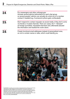| 24  | For messengers and other onlinegroups:<br>Activate several admins beforehand for each chat group,<br>so several people/ admins can actually do a kick-out of a member<br>contact if needed (e.g. if someone's phone gets confiscated).                              |
|-----|---------------------------------------------------------------------------------------------------------------------------------------------------------------------------------------------------------------------------------------------------------------------|
| 2.5 | Don't respond to contact requests via social media, if they don't come<br>via friends or trusted channels. There are cases, the T. "dressed"<br>as foreign journalists, requested interviews and, afterwards abused<br>the information and tracked the victim down. |
| 26  | Create functional email addresses instead of personalized ones,<br>so not to contain names or alike, which could identify you.                                                                                                                                      |



epa09663664 Journalists cover the protest as people demand the unfreezing of central banks assets abroad, in Kabul, Afghanistan, 02 January 2022. The protesters criticized the United States President Joe Biden and the international community for allowing the people of Afghanistan to starve due to the economic crises, and urged them and the Taliban government to help them. The return of the Islamists, criticized of human rights abuses during their previous regime during 1996-2001, prompted the US to freeze its foreign assets, while a large part of the international community imposed economic sanctions and blocked aid. Photo: picture alliance/EPA/STRINGER

—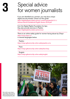## Special advice **3** for women journalists

If you are identified as a woman, you may face unique digital security threats. Check out this guide: [https://digitalrightsfoundation.pk/wp-content/uploads/2017/11/](https://digitalrightsfoundation.pk/wp-content/uploads/2017/11/Hamara-Internet-Guidebook-English-Version-2016.pdf) [Hamara-Internet-Guidebook-English-Version-2016.pdf](https://digitalrightsfoundation.pk/wp-content/uploads/2017/11/Hamara-Internet-Guidebook-English-Version-2016.pdf)

from the Digital Rights Foundation for tips; they also provide services in Pashto: [https://digitalrightsfoundation.pk/services/](https://digitalrightsfoundation.pk/services/ ) 

There is an online safety guide for women facing abuse by Chayn <https://www.chayn.co/> in several languages below.

Pashto: <https://chayn.gitbook.io/diy-online-safety/pashto-p-tw>

Farsi: <https://chayn.gitbook.io/diy-online-safety/farsi-farsy>

English: <https://chayn.gitbook.io/diy-online-safety/english>



— May 15, 2022, London, England, United Kingdom: Afghans protesters stage anti-Taliban demonstration outside Downing Street. (Credit Image: © Tayfun Salci/ZUMA Press Wire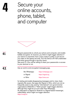## **4**

### Secure your online accounts, phone, tablet, and computer



**4.1.** 

**4.2.** 

Require passwords to unlock your phone and computer, and enable fulldisk encryption. If, however, you think it might trigger attention if your device is searched, have a story ready to justify or just secure your data on the laptop securely. Turn the device off if left unattended and when going through a security check.

See point 2, if you will be willing to share your passwords or access to your devices or not.

Use an end-to-end encrypted messaging app,

| like Whatsapp: | https://whatsapp.com |
|----------------|----------------------|
| or Signal:     | https://signal.org   |
| or Wire:       | https://wire.com     |

for texting and enable disappearing messages and/or clear chats regularly. Be aware, that apps like Signal or Wire, which are not so frequently used or only used by "international" non-governmental organizations (INGOS) or "NGO people" might trigger attention, although they might be as such safer than Whatsapp. An alternative to Signal for Android is a Signal-based messenger, called Molly, which might not trigger attention: <https://molly.im/>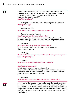Check the security settings on your accounts. See whether you have missed any important action items, and set up security alerts. If possible enable 2-Factor-Authentication (2FA) using an authentication app like freeOTP: <https://freeotp.github.io/>

 or Aegis for Android (as it has a lock with password feature): <https://getaegis.app/>

 and Raivo for iOS: <https://apps.apple.com/us/app/raivo-otp/id1459042137>

Google (on mobile phones):

<https://myaccount.google.com/security-checkup/>

be aware, that if you connected your account to a phone number, your account might become traceable through the phone number!

Facebook:

<https://www.facebook.com/help/799880743466869/> if you are using Facebook Messenger, it is better to use "Secret Conversations."

### Whatsapp:

[https://faq.whatsapp.com/general/verification/how-to-manage-two-step-verifi](https://faq.whatsapp.com/general/verification/how-to-manage-two-step-verification-settings/?lang=en)[cation-settings/?lang=en](https://faq.whatsapp.com/general/verification/how-to-manage-two-step-verification-settings/?lang=en)

 Telegram: [https://telegram.org/blog/sessionsand-2-step-verification](https://telegram.org/blog/sessionsand2stepverification) 

#### <https://2fa.directory/de/#email>

links to documentation for all email providers Make sure to write down the backup or recovery codes you get and keep them separate from your phone to recover your account if your phone is broken/stolen/out of battery!

More info:

<https://ssd.eff.org/en/module/how-enable-two-factor-authentication>

If you want to change your phone or phone number due to anonymity reasons, be aware, that you always need to change both the phone AND the SIM-card. As both identify separately but at the same time to the phone towers (SIM-card number plus IMEI-Number of the phone), changing only one of them won't suffice because, the other one still identifies you!

**4.4.** 

**4.3.**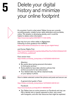## **5**

### Delete your digital history and minimize your online footprint



It's uncertain if and to what extent Taliban forces are currently surveilling people, notably human rights defenders and journalists, online. The situation is developing quickly, and it could be helpful to delete online information: <https://news.trust.org/item/20210817111442-4d73x>

that may hurt your online safety in Afghanistan. Following is some guidance from WIRED: <https://www.wired.com/story/how-to-clean-up-your-digital-history/>

and Human Rights First:

[https://www.humanrightsfirst.org/sites/default/files/How%20to%20delete%20](https://www.humanrightsfirst.org/sites/default/files/How%20to%20delete%20your%20history_updated.pdf) [your%20history\\_updated.pdf](https://www.humanrightsfirst.org/sites/default/files/How%20to%20delete%20your%20history_updated.pdf)

Farsi version here:

[https://twitter.com/dooley\\_dooley/statu s/1427223031429181441](https://twitter.com/dooley_dooley/statu s/1427223031429181441)

Attention:

- Be careful about giving personal information to third-party services.
- Some platforms have data retention policies that archive accounts for law enforcement.
- Your deleted data may still be retained locally on your laptop or phone.

How to delete selected content like photos and posts and secure use

 A general short guide in Farsi: [https://twitter.com/dooley\\_dooley/status/1427223031429181441](https://twitter.com/dooley_dooley/status/1427223031429181441)

Facebook:

<https://www.facebook.com/help/261211860580476/>

• The Taliban have an active presence on Facebook and may use FB to identify who is openly opposed to them, who works with foreigners, and who has resources that might be exploited.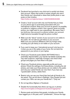● Facebook has launched a one-click-tool to quickly lock down their account. When their profile is locked, people who aren't their friends can't download or share their profile photo or see posts on their timeline: <https://twitter.com/ngleicher/status/ 1428474008295464965>

• Create a 'local' account with only ocal friends that you keep on your phone app to avoid being associated with your international contacts. Keep your account as generic as possible, no political or religious content. Use a generic photo as profile picture, you might want to use a pseudonym. Be aware, that if you bind your new account to a phone number, your account might become traceable through the phone number!

- Make sure the "about" section of your account is not visible to the public. Do not add any job history to your account. Make sure your previous affiliations with any foreign entity including your job history is not visible on your account.
- If you want to keep your 'international account' only log on to it when you are in the safety of your home. Do not store the password on your phone or your laptop.
- Check your Facebook posts (delete ANYTHING that is potentially objectionable), your friends' list (delete anybody who may raise suspicion, especially if foreign), and check what groups and pages you have liked in the past.
- Check your Facebook photos, especially profile and cover photos. Check the settings of all these photos, including the old photos, and make sure these photos are not visible to the public and only your rusted friends can view them. If you have any "questionable" photos, delete them.
- Restrict who can see your friend lists (and ask all friends to do the same). This can be done in Settings / How People find and contact you /Who can see your friends list? / "Only me."
- Do not tag fellow Afghans in Facebook
- Disable the functionality that others can tag you in photos https:/[/www.hongkiat.com/blog/prevent-facebook-tagging/amp/](http://www.hongkiat.com/blog/prevent-facebook-tagging/amp/)

1. Review posts and photos that people, including your friends, have tagged you in the past, and if "problematic", remove the tags.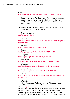### Twitter:

<https://www.businessinsider.com/how-to-delete-old-tweets-from-twitter-2018-12>

- Similar rules (as for Facebook) apply for twitter or other social media accounts. Review your list of whom you follow, and unfollow anyone or delete any tweets that could be objected to by the Taliban.
- Make sure you have not activated "tweet with location" in your Twitter setting. If you have, disable it.

### ● Delete old tweets:

<https://semiphemeral.com>

### LinkedIn:

[https://www.linkedin.com/help/linkedin/answer/3003/delete-content-you-ve](https://www.linkedin.com/help/linkedin/answer/3003/delete-content-you-ve-shared?lang=en)[shared?lang=en](https://www.linkedin.com/help/linkedin/answer/3003/delete-content-you-ve-shared?lang=en)

 Instagram: <https://help.instagram.com/997924900 322403>

 Signal: <https://support.signal.org/hc/en-us/articles/360007320491>

### Telegram:

[https://telegram.org/faq#q-can-idelete-my-messages](https://telegram.org/faq#qcanideletemymessages)

### Messenger:

<https://www.facebook.com/help/messenger-app/194400311449172>

### WhatsApp:

https://[faq.whatsapp.com/android/chats/how-to-delete-messages/](http://faq.whatsapp.com/android/chats/how-to-delete-messages/)

### Google Search:

<https://support.google.com/websearch/troubleshooter/3111061?hl=en>

### TikTok:

https://[support.tiktok.com/en/account-and-privacy/account-privacy-settings/](http://support.tiktok.com/en/account-and-privacy/account-privacy-settings/privacy-controls) [privacy-controls](http://support.tiktok.com/en/account-and-privacy/account-privacy-settings/privacy-controls)

### Wikipedia:

If you find information on Wikipedia or other Wikimedia projects that could cause harm to you or other people in Afghanistan, please email ca@wikimedia.org and put AFG in the subject line. Review your friends' profile pictures

and cover photos. If any of them has a "questionable" photo (for example: showing a flag or a banner that could be considered Anti-Taliban), ask them to change their it. If in doubt, delete this contact.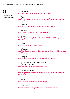### **5.2.**

How to delete entire accounts

 Facebook: <https://www.facebook.com/help/224562897555674/>

Twitter:

[https://help.twitter.com/en/managing-your-account/how-to-deactivate-twit](https://help.twitter.com/en/managing-your-account/how-to-deactivate-twitter-account)[ter-account](https://help.twitter.com/en/managing-your-account/how-to-deactivate-twitter-account)

 LinkedIn: <https://www.linkedin.com/help/linkedin/answer/63?lang=en>

 Instagram: <https://help.instagram.com/448136995230186/>

 Signal: [https://support.signal.org/hc/en-us/articles/360007061192-Unregister-or-](https://support.signal.org/hc/en-us/articles/360007061192-Unregister-or-Delete-Account)[Delete-Account](https://support.signal.org/hc/en-us/articles/360007061192-Unregister-or-Delete-Account)

 Telegram: <https://my.telegram.org/auth?to=delete>

 WhatsApp: [https://faq.whatsapp.com/android/account-and-profile/how-to-delete-your-ac](https://faq.whatsapp.com/android/account-and-profile/how-to-delete-your-account/?lang=en)[count/?lang=en](https://faq.whatsapp.com/android/account-and-profile/how-to-delete-your-account/?lang=en)

 Google: <https://support.google.com/accounts/answer/32046?hl=en>

 Additionally, request to delete cached Google results here: <https://google.com/webmasters/tools/removals>

### Microsoft/Hotmail:

[https://support.microsoft.com/en-us/help/12412/microsoft-account-how-to](https://support.microsoft.com/en-us/help/12412/microsoft-account-how-to-close-account)[close-account](https://support.microsoft.com/en-us/help/12412/microsoft-account-how-to-close-account)

**5** Yahoo: <https://en-global.help.yahoo.com/kb/SLN2044.htm>

 Protonmail: https://[protonmail.com/support/knowledge-base/delete-account/](http://protonmail.com/support/knowledge-base/delete-account/)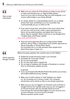**5.3.** 

How to deal with photos

- Make sure you review all of the photos you keep on your phone to make sure that there are no 'objectionable' photos (such as of you with an American flag, you with foreigners, or of women without hijab or your family abroad).
- If in doubt, delete! It is understandably hard for you to delete photos that mean something to you, but remember they could potentially put you or others at risk.
- If you want to keep them, store them in the cloud, which does not use your main account, under a name and password that is not recorded anywhere, and delete them from your phone. See for example: What is and how to use Google Drive \* English Video with Persian subtitle \*

<https://youtu.be/EbVnObwFJic>

● There are some apps that allow you to keep photos hidden behind a 'decoy' folder or that pretend to be another app (such as Secret Calculator or Private Photo Vault), but remember this is not safe because other people know about these types of apps, too.

Before browsing websites that could be seen as Anti-Taliban:

- Enable the private browsing mode in your browser
- If possible do not accept cookies
- Do not save bookmarks
- Do not save login data or passwords
- Do not login to websites with Google or Facebook or connect them to a third party website account

In general:

- Try to use browsers (like Mozilla Firefox) that protect your privacy and enable additional privacy settings
- Make sure to build a history of "safe"websites you visited (i.e. do not always surf in privacy mode). Your computer should show some entries so that no one will get suspicious.
- Make sure you are not logged in to browsers such as Firefox or Google Chrome (for example make sure you are not logged in to Chrome browser with your Google/Gmail account). If you browse the internet while logged in to your account, your account will keep a record of all your activities. Remove sensitive search results

### Online searches Google/Youtube

**5.4.**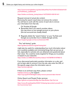[https://www.humanrightsfirst.org/sites/default/files/How%20to%20delete%20](https://www.humanrightsfirst.org/sites/default/files/How%20to%20delete%20your%20history_updated.pdf) [your%20history\\_updated.pdf](https://www.humanrightsfirst.org/sites/default/files/How%20to%20delete%20your%20history_updated.pdf)

https://[twitter.com/dooley\\_dooley/status/1427223031429181441](http://twitter.com/dooley_dooley/status/1427223031429181441)

Request removal of actual site content:

Removing the search result does not remove the content. You will have to work with the owner of each site to remove your information from that site.

On Youtube & Google

- Remember that if you search youtube videos, this may show on your google account on your phone (the two accounts are usually linked)
- Regularly delete the "search history" on your YouTube and Google accounts.See how to delete Google activity

<https://support.google.com/accounts/answer/465>

This "self-doxing" guide: <https://guides.accessnow.org/self-doxing.html>

might also be useful for understanding how much information about you is publicly available and minimizing things that can put you at risk, especially for activists who are detained and questioned about their views. You could be newly targeted for things you've posted, or based on your networks:

<https://twitter.com/BBCWomansHour/status/1427287851016798213>

If you discovered particularly sensitive information on a site, and you've been able to remove it from the site, also enter the URL of the specific page where the information was on <https://archive.org/web/>

If there is an archived copy there, please contact help@accessnow.org for support. https://[cpj.org/2019/09/digital-safety-remove-personal-data-internet/](http://cpj.org/2019/09/digital-safety-remove-personal-data-internet/)

### Online Search and People Finder services: https://[github.com/yaelwrites/Big-Ass-Data-Broker-Opt-Out-List](http://github.com/yaelwrites/Big-Ass-Data-Broker-Opt-Out-List)

[https://www.eff.org/deeplinks/2020/12/doxxing-tips-protect-yourself-on](https://www.eff.org/deeplinks/2020/12/doxxingtipsprotectyourselfonlinehowminimizeharm)[line-howminimize-harm](https://www.eff.org/deeplinks/2020/12/doxxingtipsprotectyourselfonlinehowminimizeharm)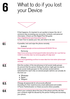## What to do if you lost **6** your Device



If that happens, it's impotant to act quickly to lessen the risk of someone else accessing your accounts, contacts, and personal information. Check out this Digital First Aid guide: https://[digitalfirstaid.org/en/topics/lost-device/](http://digitalfirstaid.org/en/topics/lost-device/) to learn how to assess your risk, and what to do next.

If possible, lock and wipe the phone remotely

### Android:

<https://support.google.com/accounts/answer/6160491?hl=en>

### Samsung:

https://[www.samsung.com/za/support/mobile-devices/how-do-i-use-find-my](http://www.samsung.com/za/support/mobile-devices/how-do-i-use-find-my-mobile-to-remotely-wipe-my-samsung-galaxy-s6-edge-plus/)[mobile-to-remotely-wipe-my-samsung-galaxy-s6-edge-plus/](http://www.samsung.com/za/support/mobile-devices/how-do-i-use-find-my-mobile-to-remotely-wipe-my-samsung-galaxy-s6-edge-plus/)

### iPhone:

https:/[/www.igeeksblog.com/how-to-erase-data-from-lost-stolen-iphone-ipad](http://www.igeeksblog.com/how-to-erase-data-from-lost-stolen-iphone-ipad-remotely/)[remotely/](http://www.igeeksblog.com/how-to-erase-data-from-lost-stolen-iphone-ipad-remotely/)

**6.2.** 

**6.3.** 

**6.4.** 

**6.1.** 

Kick the number of the lost phoneout of all social media groups (to prevent that the person finding the phone might gain access to those social media groups), for this activate several admins beforehand for each chat, so several people/admins can actually do this kick-out

- Whatsapp
- Signal
- Telegram

### Change all passwords for all accounts affected (including for their reset/recovery email addresses) and enable 2-Factor-Authentication on these accounts where possible.

Inform your contacts about the loss of the phone and the risk that your contacts might be abused by the person finding and accessing your phone.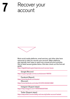## Recover your **7** account



Most social media platforms, email services, and other sites have resources to help you recover your account. Major platforms also typically have ways to report any unusual account activities. We've listed several guides below. And also check out this first-aid guide:

https://[digitalfirstaid.org/en/topics/account-access-issues](http://digitalfirstaid.org/en/topics/account-access-issues)

 Google (Recover) <https://support.google.com/accounts/answer/183723>

 Facebook (Report): https://[www.facebook.com/hacked](http://www.facebook.com/hacked) (Recover): https://[www.facebook.com/notes/10157814523321886/](http://www.facebook.com/notes/10157814523321886/)

 Instagram (Support steps): https://[help.instagram.com/149494825257596](http://help.instagram.com/149494825257596)

 Twitter (Support steps): https://[help.twitter.com/en/safety-and-security/twitter-account-hacked](http://help.twitter.com/en/safety-and-security/twitter-account-hacked)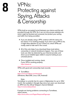## **8**

### VPNs: Protecting against Spying, Attacks & Censorship

VPNs build an encrypted tunnel between your device and the exit provided through the VPN. So it can not only access websites etc, which might be blocked and censored, but protect your surfing and traffic from being surveilled.

- If you are already using a VPN, continue with the same one, but check, if it is working properly. If you don't use a VPN so far, it might draw attention to you! Check out, which VPNs are mostly used to hide well in the crowd.
- All of this only helps if you download these tools before censorship or network shutdowns happen. Your use of these tools can often be detected by your Internet provider, and show up as installed apps visible to anyone looking at your unlocked phone.
- Once installed and running, check, if your VPN is working properly: [https://ipleak.net](http://ipleak.net)

VPNs with good anti-censorship track records:

 ● TunnelBear: https://[www.tunnelbear.com/download](http://www.tunnelbear.com/download )  (Windows, MacOSX, Linux, iOS, Android)

### Note:

Tunnelbear is currently free for users in Afghanistan for up to 10G/ month. Not available in Google App store, but users can download an APK from the official Telegram channel (Global) https://[t.me/tunnelbearofficial](http://t.me/tunnelbearofficial)

If people are having problems connecting to Tunnelbear, report issues: [https://forms.office.com/Pages/ResponsePage.aspx](http://forms.office.com/Pages/ResponsePage.aspx)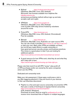- Mullvad [https://mullvad.net/en/download/](http://mullvad.net/en/download/) (Windows, MacOSX, Linux, iOS, Android) €5/month; free licenses available from helplines like help@accessnow.org, anonymous purchasing method without sign-up and also accepts cash and crypto
- VPNGate [https://www.vpngate.net](http://www.vpngate.net) (Windows, MacOSX, Linux, iOS, Android) a list of public VPN relay servers hosted by volunteers around the world.
- ProtonVPN [https://protonvpn.com](http://protonvpn.com) (Windows, MacOSX, Linux, iOS, Android, Chromebook) Free tier available.
- Bitmask https://bitmask.net (Windows, MacOSX, Linux, Android) is an open source VPN. You can use a built in provider [\(https://riseup.net](http://riseup.net) or https://calyx.net) or start your own. Many other VPNs are available out there, but not all have made efforts to evade censorship or have good and proven security, privacy, and business practices. This review is a good place to start if you are looking for additional options:

https:/[/www.nytimes.com/wirecutter/reviews/best-vpn-service/](http://www.nytimes.com/wirecutter/reviews/best-vpn-service/)

• A good resource for how VPNs work, what they do and what they don't help with is here: https:/[/ssd.eff.org/en/module/choosing-vpn-thats-right-you](http://ssd.eff.org/en/module/choosing-vpn-thats-right-you)

Please note that most (if not all) VPN "review" sites profit off of VPN purchases and/or are owned by the same companies which own the VPNs.

Dedicated anti-censorship tools:

Make your risk assessment, if these apps could pose a risk to you (like triggering attention), if they are found on your devices or their use otherwise discovered.

● Psiphon is a free and open source censorship circumvention VPN that uses a variety of techniques to bypass Internet censorship <https://www.psiphon3.com/en/download.html> (iOS, Android, Windows)

Download via email: Send an email to get@psiphon3.com to receive mirror download links of Psiphon in multiple languages.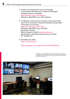- Lantern is a free and open source censorship circumvention VPN that uses a variety of techniques to bypass Internet censorship. https:/[/getlantern.org/en\\_US/index.html](http://getlantern.org/en_US/index.html) (Windows, MacOSX, Linux, iOS, Android)
- Tor Browser is the de-facto anonymity web browser that uses the Tor network for improved anonymity and provides censorship circumvention. https:/[/www.torproject.org/download/](http://www.torproject.org/download/) (Windows, MacOSX, Linux, Android);

 Download via email: Send a request to GetTor gettor@torproject.org specifying your operating system (and your locale). Ex: "windows fa"

• OnionBrowser (iOS) https:/[/onionbrowser.com](http://onionbrowser.com) 

https:/[/apps.apple.com/us/app/onion-browser/id519296448](http://apps.apple.com/us/app/onion-browser/id519296448)

— ©Adrien Vautier / Le Pictorium/MAXPPP - Adrien Vautier / Le Pictorium - 24/11/2021 - Afghanistan / Kabul - In the newsroom of the Tolo News channel in Kabul on November 24, two journalists are working. The media now has more women than at the beginning of the year, before the Taliban took over.

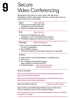## Secure<br>Video Conferencing

Messengers which allow for secure video calls. Be aware, that Signal and Wire might trigger attention, as they might not be so widely used in your communities.

Signal [https://signal.org](http://signal.org)

- End-to-end encrypted video calls available for up to 8 participants
- Tied to the mobile phone number

Wire [https://wire.com](http://wire.com)

- End-to-end encrypted video calls available for up to 4 participants (free version)
- Possibility of signing up without phone number

WhatsApp [https://whatsapp.com](http://whatsapp.com)

- End-to-end -encrypted video calls available for up to 4 participants
- Part of META-company (formerly Facebook, so meta-data is going to be captured)

### **JitsiMeet**

- Video calls for up to 25 participants on trusted servers
- Free to use
- On computers access with browsers, apps available for Android and iOS
- Trusted Providers: [https://meet.greenhost.net](http://meet.greenhost.net) [https://meet.systemli.org](http://meet.systemli.org)

### Secure use guides

https://[www.frontlinedefenders.org/en/resource-publication/guide-secure](http://www.frontlinedefenders.org/en/resource-publication/guide-secure-group-chat-and-conferencing-tools)[group-chat-and-conferencing-tools](http://www.frontlinedefenders.org/en/resource-publication/guide-secure-group-chat-and-conferencing-tools)

[https://www.frontlinedefenders.org/en/resource-publication/jitsi-meet-sim](https://www.frontlinedefenders.org/en/resource-publication/jitsi-meet-simple-and-secure-video-conferencing-platform)[ple-and-secure-video-conferencing-platform](https://www.frontlinedefenders.org/en/resource-publication/jitsi-meet-simple-and-secure-video-conferencing-platform)

App downloads for phoneshttps://[jitsi.org/downloads/](http://jitsi.org/downloads/)

If you need to use conferencing tools like zoom.us make sure, that you enable the end-to-end -encryption feature:

https://[support.zoom.us/hc/en-us/articles/360048660871-End-to-end-E2EE](http://support.zoom.us/hc/en-us/articles/360048660871-End-to-end-E2EE-encryption-for-meetings)[encryption-for-meetings](http://support.zoom.us/hc/en-us/articles/360048660871-End-to-end-E2EE-encryption-for-meetings)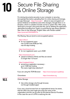## Secure File Sharing<br>& Online Storage

For storing documents securely on your computer or securing (encrypting) files before uploading them for online sharing and storage, the app Veracrypt https:/[/veracrypt.fr](http://veracrypt.fr) allows to save encrypted containers (folders) on harddrives and online storages, Google Drive or on Dropbox, which to outsiders look like normal or system files. After using Veracrypt to encrypt a document like this, opt for deleting the application afterwards (including from Trash), to avoid that the app draws attention. See: How to Use Veracrypt \*English Video with Persian subtitle" https://[youtu.be/C25VWAGl7Tw](http://youtu.be/C25VWAGl7Tw)

File Sharing: Secure (end-to-end encrypted) options

### <https://ufile.io/>

● for non-registered users: max 10 files (max 5GB per file), max 30 days hosting

### <https://send.tresorit.com/>

● for non-registered users: up to 5GB

### <https://send.tresorit.com/>

● upload is limited to 50mb and files are stored no longer than 12 hours!

### [https://cryptpad.fr/drive/](https://cryptpad.fr/drive/ )

● anonymous registration necessary up to 1GB free hosting The name might draw attention!!!

If you are using the TOR-Browser: https://[www.torproject.org/&nbsp](http://www.torproject.org/ )

Onionshare: https://[onionshare.org](http://onionshare.org)

### Online Storage

• Use online storage only through browser, not through installed apps!

If you use a cloud-access from an organizational server, be aware, that the URL/Link used might give away the name of the organisation and this can be seen by the Internet Service Providers. In this case the use of a VPN is reducing the risk.

**10.1.** 

**10.2**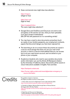these commercial ones might draw less attention:

 https:/[/mega.io](http://mega.io) (20gb for free)

 https:/[/sync.com](http://sync.com)  (5gb for free)

https:/[/cryptpad.fr/drive](http://cryptpad.fr/drive)

The name might draw attention!!!

- Google Drive and OneDrive and iCloud are not end-to-end encrypted, so the servers can see, what you have uploaded, if you don't protect it beforehand (like ZIP-file with password on it or something similar)
- You may have a need to store documents somewhere (such as copies of your family's passports, your employment contracts, papers that document danger you have been exposed to).
- The best thing to do is to ensure these documents are saved in a secure cloud storage that does not use your main email account, or sent to a secure email address that you can access but is not your main known account, and not stored on your phone or your computer.
- Academics/students who need to save sensitive documents and/or information can use the Article 26 Backpack initiative by the University of California, Davis. Documents will be saved on cloud. Instructions available in English, Farsi and Dari.

https:/[/backpack.ucdavis.edu](http://backpack.ucdavis.edu)

 https:/[/human-rights.ucdavis.edu/news/afghanistan-emergency-re](http://human-rights.ucdavis.edu/news/afghanistan-emergency-resource- information)   [source-information](http://human-rights.ucdavis.edu/news/afghanistan-emergency-resource- information)

### Credits With Afghan journalists as well as on

with Afghan journalists as well as on these guides:

1. Online safety resources for Afghanistan's human rights defenders (EN): https:/[/www.accessnow.org/online-safety-resources-afghanistan/](http://www.accessnow.org/online-safety-resources-afghanistan/)

2. Checklist for Afghans. Minimise Risk through Data on Phones/Devices (20 August 2021; EN, Dari, Pashto): https:/[/docs.google.com/document/d/19GPJDmMLPagNnbumZwmKZGJaIiRMFmHiJKtuvmL-](http://docs.google.com/document/d/19GPJDmMLPagNnbumZwmKZGJaIiRMFmHiJKtuvmL6wl8/edit)[6wl8/edit](http://docs.google.com/document/d/19GPJDmMLPagNnbumZwmKZGJaIiRMFmHiJKtuvmL6wl8/edit)

3. Digital Security Resources for Afghanistan. + Internet Shutdowns, Online Privacy (EN, Dari): https:/[/drive.google.com/drive/folders/1v9WvDvoCPjP13Y2Lsd0hqwDt6mqEgvtW](http://drive.google.com/drive/folders/1v9WvDvoCPjP13Y2Lsd0hqwDt6mqEgvtW)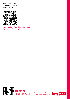Scan the QR code for the digital version of this care guide.



[https://helpdesk.rsf.org/digital-security-guide/](https://helpdesk.rsf.org/digital-security-guide/afghanistan-digital-care-guide/) [afghanistan-digital-care-guide/](https://helpdesk.rsf.org/digital-security-guide/afghanistan-digital-care-guide/)



Senate Department for Economics,<br>Energy and Public Enterprises

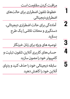مراقبت کردن، مقاومت است خطوط تلفون اضطراری برای حالتهای اضطراری دیجیتالی آمادهگی برای حالت اضطراری دیجیتالی، دستگیری و محالت تالشی | یک طرح بسازید توصیه های ویژه برای زنان خربنگار حسابهای کاربری آنالین، تلفون، تبلیت و کامپیوتر خود را مصون سازید سابقه دیجیتالی خود را حذف کنید و ردپای آنالین خود را کاهش دهید  **1 2 3 4 5**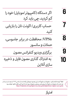**6 7 8 9 10**  اگر دستگاه (کامپیوتر/موبایل) خود را گم کردید، چی باید کرد حساب کاربری/ اکونت تان را بازیابی کنید VPNs: محافظت در برابر جاسوسی، حمالت و سانسور برگزاری ویدیو کنفرانس مصون به اشرتاک گذاری مصون فایل و ذخیره سازی آنالین

لطفا" توجه داشته باشید: معلومات و منابع که در این رهنمود دیجیتالی ارائه شده، از ماه می ۲۰۲۲ به بعد است و ما در هر شش ماه محتویات و منابع آن را بروزرسانی مینمایم. محتویات بروز شده از این آدرس قابل دانلود خواهد بود: [https://helpdesk.rsf.org/digital-security-guide/afghanistan-digital-care-guide](https://helpdesk.rsf.org/digital-security-guide/afghanistan-digital-care-guide )

امتیاز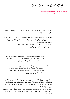**مراقبت کردن، مقاومت است.**

" مراقبت از خودم یک زیاده خواهی نیست، بلکه این به معنی حفاظت از خودم میباشد و یک کنش از جنگ سیاسی است." (اودره لرده)

مراقبت از دستگاه (کامپیوتر/موبایل) و دیتا یا معلومات تان نه تنها به مفهوم محافظت از شخص شام، بلکه محافظت از متام جامعه است.

خربنگاران، کارمندان رسانهها و فعاالن زندگی خود را به مخاطره میاندازند، اگر در صورتیکه از دیتا/ معلومات آنالین، آپها، و یا ارتباطات شان به حیث شواهد علیه آنها و یا شخصی دیگری که با آنها در ارتباط است، استفاده شود. ممکن است دسرتسی به چنین دیتا یا معلومات، برنامهها و غیره اتفاق بیفتد. همچنین ممکن است سناریو های ذیل نیز رخ بدهند.

- مصادره و یا دسترسی به تلفونها، تبلیتها، کامپیوترها، ساعتهای هوشمند و دیگر دستگاههای قابل بازیابی( USB ها، هاردسکهای بیرونی، و غیره) در جریان یورش، جستجو، دستگیری و یا در محل تالشی و غیره
	- نظارت از ارتباطات دیجیتالی و یا تماسهای آنلاین
	- حملات دیجیتالی بر دستگاهها (کامپیوتر/موبایل) و حسابهای کاربری
	- هوش منابع باز| تحقیق روی پلاتفورمهای که به شکل عام قابل دسترس هستند، مانند: فیسبوک و ویکی پدیا

با اطالع از اینکه منیتوان از متام خطرات جلوگیری کرد با برخی اقدامات مشخص مثل داشنت دیتا یا اطالعات کمرت در دستگاهها، استفاده از کانالهای مصون ارتباطی و امن سازی دستگاههای ما (کامپیوتر/موبایل) میتوان احتمال و یا اثرگذاری اینکه چنین دیتاها و برنامهها به شواهد علیه ما تبدیل شوند را کاهش داد. در عین حال، برخی از این اقدامات امن به خطرات نیز تبدیل خواهند شد، اگر app ها و برنامههای شناسایی شده به حیث شاخصهای مرتبط با بازیگران اشتباه ( جامعه بینالمللی و یا نظیر آن) در نظر گرفته شود.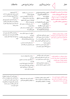| ملاحظات                                                                                                                                                                                                                                         | مراحل پاسخ دهی                                                                                                                                                                                                                                                               | <i> </i><br>   مراحل پیشگیری                                                                                                                                                                                                               | خطر                                                                                                                                                   |
|-------------------------------------------------------------------------------------------------------------------------------------------------------------------------------------------------------------------------------------------------|------------------------------------------------------------------------------------------------------------------------------------------------------------------------------------------------------------------------------------------------------------------------------|--------------------------------------------------------------------------------------------------------------------------------------------------------------------------------------------------------------------------------------------|-------------------------------------------------------------------------------------------------------------------------------------------------------|
| ■ اخذ تصميم مهم:<br>آیا تحت فشار اجازه خواهید داد که به<br>دستگاه (کامپیوتر/موبایل) تان دسترسی<br>صورت بگیرد؟<br>▪ در نظر داشته باشید، آیاپشتیبان های<br>رمزگذاری شده و یا فایل های رمزگذاری<br>شده باعث جلب توجه و ایجاد خطر به<br>شما می شود؟ | ■ عدم دسترسی به دستگاهها<br>(کامپیوتر/موبایل)<br>▪ یاک کردن دستگاهها از راه دور و<br>یا پاک کردن به شکل خودکار/<br>اتوماتیک در صورت تلاش ناموفق<br>برای ورود به دستگاه<br>▪ با خبر سازی افراد در معرض خطر<br>یا متاثر شونده<br>بازیابی معلومات و حساب های<br>کاربری/اکونت ها | كاهش ديتا/دادهها معلوماتي<br>در دستگاههای (کامپیوتر/<br>موبايل) ما به<br>حداقل نا محسوس اما واقع<br>بينانه<br>مصون سازی دیتا/معلومات در<br>دستگاههای ما<br>مصون سازی دستگاه ها<br>ایجاد پشتیبانی رمزگذاری شده<br>برای مّام دیتا/معلومات ها | مصادر و یا دسترسی به تلفونها،<br>تبلیتها، کامپیوترها و ساعت<br>های هوشمند دستی در جریان<br>حملە/يورش،جستجو،دستگیری<br>و همچنین محلات تلاشی و<br>غيره. |
| ▪ برنامهها و یا کانال های مصون مثل<br>VPNها ممكن باعث جلب توجه شوند<br>و یا خود باعث ایجاد خطر و تهدید<br>گردند                                                                                                                                 | ▪ نظارت را در صورت امکان مستند<br>سازی کنید<br>■   فعال سازی میکنازیم های حفاظتاز<br>سوءاستفاده توسط ارائه دهندگان<br>خنمات<br>▪ حسابهای متاثر شده یا آسیب<br>پذیر را پشتیبانی و غیر فعال کنید                                                                               | مصون سازی اکونت های آنلاین<br>استفاده از خدمات مصون آنلان (<br>پیام رسان های رمزگذاری شده سر تا<br>سر، ذخیره سازی آنلاین، کنفرانس های<br>ويديويي و غيره.)<br>■ مصون سازی دسترسی ما به انترنت<br>از طریق VPN یا ابزار مشابه به آن           | نظارت بر روابط دیجیتالی و ارتباطات<br>آنلاین (توسط مقامها، متحدین آنها، ارائه<br>کنندههای خدمات انترنتی، و شرکت های<br>مخابراتی)                      |

حمالت دیجیتالی بر دستگاهها و اکونت ها ) افزارجاسوسی، حمالت هک کننده، و جابجایی شواهد از سوی مقامها و متحدین شان یا هم مجرمان)

- مصون یا امن سازی دستگاه ها • حمالت و متام شواهد را مستند
	- امن سازی حسابهای کاربری آنالین سازی کنید
- به روز سازی سیستم اجرایی و نرم • دستگاه های حمله شده را خاموش نگه دارید
	- رد درخواست ارتباط توسط افراد ناشناس از طریق رسانههای اجتامعی

افزار ها

- اکونتها را از طریق ارائه کننده و یا خط متاس های کمکی بازیابی کنید
- گزینه FA2 را برای اکونت های بازیابی شده فعل سازید.

هوش یا اطلاعات منابع باز (اوسنت) | جستجو در سکوهای که به شکل عموم قابل دسرتس هستند، مثل فیسبوک و ویکی پدیا

- کاهش ردپای در فضایی دیجیتالی با حذف معلومات یا با درخواست حذف معلومات از سکوهای و پالتفورم های آنالین
- کوشش کردن برای حذف شواهد در سکوهای یا پالتفورم های آنالین

• متوجه باشید، که بسیاری از معلومات به شکل کامل حذف نخواهد شد، اما اگر این کار صورت بگیرد به دلیل تاخیر در پشتبیانی های توزیع شده و پالتفورم ها مثل ماشین بازگشت و سایر خدمات ذخیره سازی است.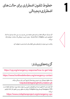

اگر شما یک خبرنگار، فعال و یا هم عضو جامعه مدنی هستید و در عین حال شما نیاز به کمک اضطراری دارید، Access Now`s Helpline حمایت امنیت دیجتالی 24 ساعته را برایتان ارائه می)کند.

یاداشت: تیم حمایت با زبانهای محلی افغانستان با شما صحبت نخواهد کرد.

گزینههای بیشرت:

**1**

[https://cpj.org/emergency-response/how-to-get-help](https://cpj.org/emergency-response/how-to-get-help/)

<https://www.frontlinedefenders.org/emergency-contact>

بنیاد حقوق دیجیتالی نیز به چنین پروندهها از طریق آدرس ذیل رسیدگی میکند. [helpdesk@digitalrightsfoundation.pk](https://digitalrightsfoundation.pk/)

اگر گمان دارید که تلفون شما با نرم افزارهای جاسوسی یا موارد مشابه مورد حمله قرار گرفته است، VPN Emergency توسط پروژه Civilsphere برایتان به منظور بررسی تلفون تان کمک فراهم می)کند:

<https://www.civilsphereproject.org/emergency-vpn>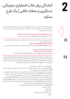آمادهگی برای حالت اضطراری دیجیتالی، دستگیری و محالت تالشی | یک طرح بسازید

برای ایجاد مصونیت آنلاین، تشخیص دهید که با کدام نوع تهدید شما رو به رو هستید و کدام فعالیت آنلاین تان شما را با خطر مواجه میسازد – نوع تهدید شام چیست؟ این نگاه نخست به امنیت دیجیتالی به شام کمک می کند که به چنین سئواالت خود پاسخ بیابید.

<https://www.accessnow.org/first-look-at-digital-security/>

زمانی که در مورد تهدید فکر میکنید، لطفاً موارد ذیل را نیز به خاطر داشته باشد.

یک برنامه بریزید برای این احتمال که شما و یا یکی از افراد را که میشناسید ممکن توسط مقامها بازداشت شود. به این رهنما یک نگاهی بیندازید.

<https://digitalfirstaid.org/en/arrested/>

این توسط RaReNet و CiviCERT ترتیب شده و شامل اقدامات احتیاطی امنیت دیجیتال برای اطالعات بیشرت است.

همچنین رهنمای مقابله با زندان نیز وجود دارد. <https://coping-with-prison.org> این رهنما شامل نکاتی برای خانوادهها، حمایت کنندهگان و وکیلان افراد بازداشت شده است.

در محلات تلاشی و در هنگام حمله یا یورش، آماده باشید اینکه مقامها دستگاههای شما (کامپیوتر/موبایل) را مصادره خواهند کرد و یا هم بر شام فشار میآورند تا آن را باز کنید. تلفون تان را با خود به بیرون نربید، یا هم یک تلفونی را با خود بردارید که دیتا/اطالعات حساس مثل شامره های ارتباط و یا معلومات مشابه در آن موجود نباشد. مقدار دیتا/ دادههای را که در دستگاههای خود خاصتاً موبایل تان ذخیره میکنید به حداقل برسانید.

– قانون طالیی اینست: اگر شک دارید، حذف اش کنید. هیچ اطالعاتی ارزش این را ندارد که به خاطر آن زندگی خود و یا دوستان تان را در مخاطره بیندازید.) نکات ذیل برای چگونگی حذف محتویات و حسابهای کاربری است.( تصمیم بگیرید که آیا میخواهید به دستگاههای تان دسرتسی داشته باشید یا خیر. این یک تصمیم ساده نخواهد بود، اما خوب است قبل از اینکه اتفاق بیفتد در مورد آن فکر کنید. توجه داشته باشید در صورت حضور شام، این ممکن است که اثرانگشت و یا هم ID-Face با استفاده از زور باز ساخته شود. در iOS البته آیفون های قدیمی گزینه اضطراری وجود دارد که با چندین بار فشار دادن دکمه پاور، این ممکن است که از ID-Face و یا اثرانگشت به مرحله رمز عبوری وارد شوید. همچنین در آیفون های جدید این کار در ابتدا با خاموش کردن / SOS Emergencyو برای دو ثانیه با فشار دادن و یا محکم گرفنت دکمهء صدا و یا دکمه کناری به شکل همزمان رخ میدهد. خود را آماده کنید که از این روش استفاده کنید اگر احتامالً رضورت به استفاده آن را داشتید.

برنامهها/App های که می تواند باعث خطرات امنیتی برای شام و دیگران شود:

- آدرس/لیست متاسها
	- برنامه مسنجر
	- اکونت فیسبوک
- تویتر و دیگر حسابهای کاربری اجتماعی
	- ایملها

 $\overline{21}$ 

**2**

 **2.2.**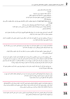- یاداشتها و یاداشتهای صوتی
	- عکسها
- جستجو/ سابقه جستجو در ویب سایتها
- ویدیوهای یوتیوب را که متاشا کرده اید/اکونت گوگل
- اسنادهای را در کامپیوتر و تلفون همراه تان ذخیره کرده اید
	- برنامههای VPN

- دادههای Maps Apple/Google و تاریخچه موقعیت مکانی )مکانهای مهم برای اپل، سابقه موقعیت مکانی برای )Google

- برنامه تقویم جنرتی که احتامالً حاوی ورودیهای حساس نیز باشند
- برنامههای موزیک ( برخی موزیکها ممکن از لحاظ سیاسی و مذهبی مناسب جلوه نکنند)
	- برنامههای دوستیابی

آگاه باشید، که شام باید موارد حذف شد را از سطل باطله تلفون/کامپیوتر تان پاک کنید و اینکه یک تحلیل از فرد متخصص ممکن است آثار از موارد حذف را باز گرداند.

در مورد که میخواهید همه چیز را از تلفون تان حذف کنید: حداقل برخی از تصاویر شخصی تان را نگهدارید تا نشان بدهد که تلفون مورد استفاده قرار گرفته است.

نام افراد متاس گیرنده در لیست تلفون همراه تان را به حروف زبان دری یا پشتو تغییر دهید و بررسی منائید اگر نیاز بود، شماره تماسهای خارجی/بین|لمللی را نیز از موبایل تان حذف کنید.

- آدرسهای موجود در تلفون همراه تان، مخاطبین مسنجر و یا سابقه چت تان نباید حاوی و بیانگر نامها و آدرسهای خارجی باشد.

- اگر میخواهید یک لیستی از این مخاطبین و یا آدرسها را با خود نگهداشته باشید، آنها را در تلفون یا لب تاپ تان حفظ نکنید! آنها را به خودتان به آدرس ایمل ارسال کنید که ایمل اصلی تان نباشد. رمز عبوری و یا حساب کاربری آن ایمل را در موبایل و لب تاپ تان ذخیره نکنید و سرنخ از آن را در دستگاه تان نگذارید. ( به طور مثال: اگر شما از ایمل اصلی تان به ایمل دیگر تان پیام میفرستید، پیام ارسال شده هنوز در پوشه ارسال موجود میباشد.(

- هر نوع ایمل زیان آور را از پیام خانه، آرشیف، بخش ارسال، و یا پوشه پیش نویس حذف کنید و مطمئین شوید که پوشه باطله را هم پاک کرده اید.

برای مسنجرها و دیگر گروههای آنالین: از قبل چندین فرد را به حیث مدیر گروههای مختلف انتخاب کنید چون در صورت نیاز یکی از مدیران آن گروه میتواند یک عضو را حذف کند. )به طور مثال: اگر تلفون کسی از نزد او مصادره شود.(

به درخواستهای متاس از طریق رسانههای اجتامعی پاسخ ندهید، اگر متاس از طرف دوستان تان و یا کانالهای قابل اعتماد نباشد. مواردی وجود دارند که یک فرد ناشناس خود را خبرنگار خارجی معرفی کرده و تقاضای مصاحبه میکند و اما بعداً از اطالعات ارائه استفاده سو کرده و سپس قربانی را ردیابی میکند.

بجای ایمل آدرسهای خصوصی شده، ایمل آدرسهای کاربردی یا ترکیبی بسازید، به این معنی که ایمل حاوی نام شما و یا محتویات نباشد که هویت شما به واسطه آن تشخصی شود.  **2.5.** 

 **2.6.**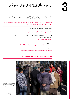**3** توصیه های ویژه برای زنان خربنگار

اگر شما به عنوان یک زن شناسایی شوید، ممکن شما با تهدیدهای امنیتی دیجیتالی منحصر به فرد رو به رو شوید. به روش موجود در این رهنما بنیاد حقوق دیجیتالی توجه کنید.

[https://digitalrightsfoundation.pk/wp-content/uploads/2017/11/Hamara-Inter](https://digitalrightsfoundation.pk/wp-content/uploads/2017/11/Hamara-Internet-Guidebook-English-Version-2016.pdf)[net-Guidebook-English-Version-2016.pdf](https://digitalrightsfoundation.pk/wp-content/uploads/2017/11/Hamara-Internet-Guidebook-English-Version-2016.pdf)

این بنیاد همچنین به زبان پشتو ارائه خدمات میکند.

 [/https://digitalrightsfoundation.pk/services](https://digitalrightsfoundation.pk/services/ )

یک رهنامیی مصونیت آنالین توسط Chayn برای زنانیکه با آزار و اذیت رو به رو هستند نیز وجود دارد. این رهنما به زبانهای مختلف است. <https://www.chayn.co/>

> پشتو <https://chayn.gitbook.io/diy-online-safety/pashto-p-tw>

 فارسی <https://chayn.gitbook.io/diy-online-safety/farsi-farsy>

 انگلیسی [https://chayn.gitbook.io/diy-online-safety/english](http://chayn.gitbook.io/diy-online-safety/english ) 



— اسام سهین، خربنگار تلویزون طلوع که ۲۲ سال دارد. او در حال مصاحبه با مردم در کابل است. سه شنبه ۸ فربوری، ۲۰۲۲ او و همکارش بینش کوشش کردند که افغانستان را با صدها خربنگار دیگر که فرار کردند و یا برای ترک افغانستان همرایشان کمک صورت گرفت، بعد از تسلط طالبان در اگست ۲۰۲۱ کشور را تر<br>تاک کنند.

رسوی که از سوی سازمان خربنگاران بدون مرز و انجمن آزاد خربنگاران افغانستان صورت گرفت، نشان میدهد که ۲۳۱ رسانه در کشور مسدود شده و بعد از تسلط طالبان در کابل ۶۴۰۰ خربنگار وظایف شان را از دست داده است.

عکس: از یک سال قبل از تسلط طالبان بر کابل است. )AP )Photo/ Hussein Malla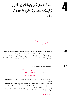

حسابهای کاربری آنالین، تلفون، تبلیت و کامپیوتر خود را مصون سازید

برای باز کردن تلفون و کامپیوتر تان نیاز به رمز عبوری دارید و مرز گذاری متام-دیسک یا دستگاه همراه تان را فعال کنید. ) اگر فکر میکنید، در صورت جستجوی دستگاه تان این مورد باعث جلب توجه میشود، یک داستان از قبل آماده برای توجیه و یا امن سازی معلومات در لب تاپ تان داشته باشید.) زمانی با کدام محل تلاشی مواجه شدید دستگاه تان را خاموش ساخته و در حالت عدم مراقبت رها اش کنید. به نکات شماره 2 مراجعه کنید. در صورتیکه مایل به اشتراک گذاری رمز عبوری و یا دسترسی به دستگاه (کامپیوتر/موبایل) تان بودید و یا هم خیر.

از برنامههای پیام دهی رمز گذاری شده سرتا سر

| https://whatsapp.com | مثل واتساپ |
|----------------------|------------|
| https://signal.org   | يا زيگنال  |
| https://wire.com     | يا واير    |

استفاده کنید و برای پیامهای نوشتار گزینه ناپدید شدن پیامها را هم فعال کنید و یا هم مسجهایتان را به طور منظم حذف کنید.

متوجه باشید، که برنامههای چون زیگنال و وایر که به شکل معمول مورد استفاده قرار منیگیرند و یا هم مورد استفاده سازمانها و افراد مرتبط به موسسات بیناملللی و نهادهای غیر دولتی هستند، ممکن باعث جلب توجه بیشرت شوند. هرچند که آنها ممکن مصونتر از واتساپ هم باشند.

یک جایگزینی برای زیگنال در Android یک پیام رسان مبتنی بر زیگنال به نام Molly است که ممکن است توجه را جلب بیشرت به خد نکند:

<https://molly.im/>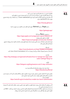**4.3.** 

تنظیامت امنیتی در حسابهای کاربری خود را بررسی کنید. ببنید آیا موارد اقدامات مهمی را متوجه شده اید یا خیر و نیز گزینه هشدار امنیتی را تنظیم کنید. اگر ممکن بود شما گزینه (2AF) یا همان گزینه برای Factor-Authentication- را با استفاده از یک برنامه تصدیق هویت مانند freeOTP فعال سازید.

#### <https://freeotp.github.io/>

یا هم Aegis را برای Adnriod (چون گزینه قفل شدن با قابلیت رمز عبوری را دارد)

<https://getaegis.app/>

 و همچنین Raivo برای iOS <https://apps.apple.com/us/app/raivo-otp/id1459042137> گوگل (در تلفون های موبایل): <https://myaccount.google.com/security-checkup/> توجه داشته باشید، اینکه اگر حساب کاربری خود را با یک شماره تلفون وصل ساخته اید، اکونت شما می تواند از طریق شماره مّاس قابل ردیابی باشد.

> فیسبوک: <https://www.facebook.com/help/799880743466869>

اگر شما از مسنجر فیسبوک استفاده میکنید این بهتر است که از (Secret Conversations) استفاده کنید.

واتساپ:

[https://faq.whatsapp.com/general/verification/how-to-manage-two-step-verifi](https://faq.whatsapp.com/general/verification/how-to-manage-two-step-verification-settings/?lang=en )[cation-settings/?lang=en](https://faq.whatsapp.com/general/verification/how-to-manage-two-step-verification-settings/?lang=en )

> تلگرام: <https://telegram.org/blog/sessions-and-2-step-verification>

> > لینک ذیل اسناد مرتبط به متام ارائه کنندهگان ایمل است. [https://2fa.directory/#email](https://2fa.directory/#email )

مطمین شوید که کدهای حمایتی و بازیابی خود را بیرون از تلفون به طور جداگانه یاداشت کنید که در دزدیده شدن، شکسنت و یا امتام باطری تلفون بتوانید حساب کاربری خود را بازیابی کنید. معلومات بیشرت:

[https://ssd.eff.org/en/module/how-enable-two-factor-authentication](https://ssd.eff.org/en/module/how-enable-two-factor-authentication )

اگر میخواهید که بخاطر ناشناس بودن، شامره تلفون و یا تلفون خود را تغییر بدهید. بخاطر داشته باشید که همیشه هر دو را همزمان باید تغییر داد.

هر چند هر دو به طور جداگانه اما همزمان توسط تاورهای تلفون شناسایی میشود. )شامره سیم کارت + IMEI منرب تلفون)، تغییر یکی آنها کافی نیست بخاطریکه دومی شما را هنوز شناسایی کرده می تواند.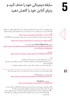سابقه دیجیتالی خود را حذف کنید و **5** ردپای آنالین خود را کاهش دهید

این هنوز دقیق نیست که آیا و تا چی اندازه نیروهای دشمن/هکران بر مردم خاصتاً مدافعان حقوق برش و خربنگاران نظارت آنلاین دارند یا خیر. این اوضاع به سرعت در حال توسعه است و حذف معلومات آنلاین میتواند موثر واقع شود.

#### <https://news.trust.org/item/20210817111442-4d73x>

این ممکن به مصونیت آنلاین شما در افغانستان صدمه بزند. در ذیل بعضی از رهنمایی های توسط WIRED ارائه شده.

<https://www.wired.com/story/how-to-clean-up-your-digital-history/>

#### همچنین First Rights Human معلومات ارائه میدهد.

[https://www.humanrightsfirst.org/sites/default/files/How%20to%20delete%20](https://www.humanrightsfirst.org/sites/default/files/How%20to%20delete%20your%20history_updated.pdf) [your%20history\\_updated.pdf](https://www.humanrightsfirst.org/sites/default/files/How%20to%20delete%20your%20history_updated.pdf) 

#### شکل فارسی [https://twitter.com/dooley\\_dooley/status/1427223031429181441](https://twitter.com/dooley_dooley/status/1427223031429181441)

توجه:

.1 در مورد به ارائه معلومات شخصی به خدمات گروه ثالث متوجه باشید. .2 برخی سکوها یا پالت فورمها خط و مشی نگهداری دیتا/دادهها را دارند که حسابهای کاربری را برای اجرای قانون آرشیف میکنند. 3. امکان دارد دیتا حذف شده شما هنوز به شکل محلی در لب تاپ و یا تلفون شما حفظ باشد.

چگونه محتویات انتخاب شده، مثل عکس و پستها را حذف کنیم و یا آن را به شکل مصون استفاده کنیم.

نظری بیندازید بر این رهنمایی کوتاه فارسی: [https://twitter.com/dooley\\_dooley/status/1427223031429181441](https://twitter.com/dooley_dooley/status/1427223031429181441) 

#### فیسبوک – Facebook [https://www.facebook.com/help/261211860580476/](https://www.facebook.com/help/261211860580476/ )

طالبان حضور فعال در فیسبوک دارند و ممکن از آن برای شناسایی افراد که با آنها آشکارا در مخالفت هستند، یا کسانی که با خارجی ها کار میکنند و یا هم کسانی که منابع قابل بهره گیری دارند، استفاده کند.

● فیسبوک ابزاری را ساخته که با یک کلیک آنها میتواند اکونت شان را قفل کند. زمانی که پروفایل شان قفل شود، افراد که دوستان شان نیستند، قادر به دانلود و یا اشرتاک گذاری عکس پروفایل و یا پست های صفحه شان میباشند.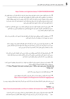### <https://twitter.com/ngleicher/status/1428474008295464965>

● یک حساب/اکونت محلی بسازید و تنها برای دوستان محلی تان باشد تا با نگه داشنت آن در برنامه تلفونی تان از ارتباط شدن با مخاطبین و متاس های بین املللی تان جلوگیری شود. اکونت تان را به اندازه که ممکن باشد عمومی بسازید، محتویات سیاسی و مذهبی نشر نکنید. از یک عکس عمومی به حیث تصویر پروفایل استفاده کنید و ممکن شما برای این اکونت یک نام مستعار هم استفاده کنید. اما متوجه باشید اگر حساب جدید تان را با شماره تلفون وصل کنید، ممکن از طریق شماره تلفون ردیابی شوید.

● مطمین شوید که بخش معلومات اکونت شام برای عموم قابل مشاهد نیست. هیچ سابقه کاری را به اکونت/ حساب تان اضافه نکنید. اطمینان حاصل کنید که هیچ ارتباط قبلی شام با نهادهای خارجی و یا سابقه کاری شما در اکونت تان قابل مشاهد نیست.

● اگر میخواهید از اکونت بیناملللی خود استفاده کنید، فقط زمان وارد آن شوید که در مکان امن و یا در خانه هستید. رمز عبوری آن را در موبایل یا لب تاپ تان ذخیره نکنید.

● پست های فیسبوک خود را بررسی کنید ( هر آنچه که به طور بلقوه قابل اعتراض بوده میتواند را حذف کنید.)، لیست دوستان تان ( هر آن کسی را حذف کنید که میتواند باعث ایجاد شک شود خاصتاً اگر خارجی باشد.)، و صفحات و گروپ های را که در گذشته پسند کرده اید، هم بررسی کنید.

● عکس های فیسبوک تان خاصتاً تصویر پروفایل و پس منظر را بررسی کنید. تنظیامت متامی این عکس ها را بررسی کنید به شمول عکس های قدیمی و مطمین که این عکس ها قابل مشاهده بجز دوستان قابل اعتامد برای دیگران نیست. اگر کدام عکس (سوال برانگیز) دارید را حذف کنید.

● مشاهده لیست دوستان را محدود بسازید تا دیگران دیده نتواند. ( و از مّام دوستان بخواهید که چنین کنند.) این موارد در بخش تنظیامت فیسبوک تان تنظیم میشود. / ? How People find and contact you / Who can see your friends list

".Only me"

● هم دیاران افغان تان را در فیسبوک برچسب/تگ نکنید.

● گزینه را که دیگران می توانند شما را در عکس ها برچسب گذاری کنند غیرفعال سازید. https:/[/www.hongkiat.com/blog/prevent-facebook-tagging/amp/](http://www.hongkiat.com/blog/prevent-facebook-tagging/amp/)

.1 پست ها و عکس های را که قبآل دوستان تان شام را تگ کرده، مرور کنید اگر باعث ایجاد مشکل میشوند، برچسب را حذف کنید.

#### تویرت- Twitter

<https://www.businessinsider.com/how-to-delete-old-tweets-from-twitter-2018-12>

● قواعد مشابه به فیسبوک بر تویتر و دیگر رسانههای اجتماعی نیز اعمال میشود. لیست کسانی که شما را دنبال میکنند را مرور کنید، هر کسی را و یا هر تویت که میتواند مخالف طالبان را به همراه داشته باشد،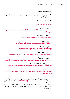لغودنبال کردن و یا حذف کنید.

- مطمین شوید که شما موقعیت تویت کردن را در بخش تنظیمات تویتر تان فعال نه کرده اید. اگر چنین است، آن را غیر فعال کنید.
	- تویت های قبلی را حذف کنید:

<https://semiphemeral.com>

 لینکدان – Linkedin [https://www.linkedin.com/help/linkedin/answer/3003/delete-content-you-ve](https://www.linkedin.com/help/linkedin/answer/3003/delete-content-you-ve-shared?lang=en)[shared?lang=en](https://www.linkedin.com/help/linkedin/answer/3003/delete-content-you-ve-shared?lang=en)

> انستاگرام – Instagram [https://help.instagram.com/997924900322403](https://help.instagram.com/997924900322403 )

 زیگنال – Signal <https://support.signal.org/hc/en-us/articles/360007320491>

 تلگرام – Telegram <https://telegram.org/faq#q-can-i-delete-my-messages>

 مسنجر – Messenger <https://www.facebook.com/help/messenger-app/194400311449172>

 واتساپ – WhatsApp <https://faq.whatsapp.com/android/chats/how-to-delete-messages/?lang=en>

 جستجوی گوگل – Search Google <https://support.google.com/websearch/troubleshooter/3111061?hl=en>

تیک تاک – TikToK [https://support.tiktok.com/en/account-and-privacy/account-privacy-settings/](https://support.tiktok.com/en/account-and-privacy/account-privacy-settings/privacy-controls ) [privacy-controls](https://support.tiktok.com/en/account-and-privacy/account-privacy-settings/privacy-controls )

ویکی پدیا:

اگر در ویکی پدیا یا سایر پروژههای ویکیمدیا اطالعاتی پیدا کردید که میتواند به شام یا سایر افراد در افغانستان آسیب برساند، لطفاً در مورد آن به این آدرس ایمل کنید – org.wikimedia@ca و AFG را در نوار مطلب یا Subject Line بنویسید.

عکس پروفایل و یا پس منظر حساب های کابری دوستان تان را مرور کنید. اگر هر کدام از آنها عکس سئوال برانگیز ) به طور مثال: مایش یک پرچم یا بنر ضد طالبان) را داشتند، از آنها بخواهید تغییر اش دهد. اگر مشکوک بودید آن آدرس را حذف کنید.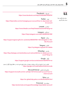# **5.2.**

حذف مّام اکونت ها/ حساب های کاربری

 فیسبوک – Facebook <https://www.facebook.com/help/224562897555674/>

 تویرت – Twitter [https://help.twitter.com/en/managing-your-account/how-to-deactivate-twit](https://help.twitter.com/en/managing-your-account/how-to-deactivate-twitter-account)[ter-account](https://help.twitter.com/en/managing-your-account/how-to-deactivate-twitter-account) 

> لینکد ان – LinkedIn <https://www.linkedin.com/help/linkedin/answer/63?lang=en>

> > انستاگرام – Instagram <https://help.instagram.com/448136995230186/>

 زیگنال –Signal [https://support.signal.org/hc/en-us/articles/360007061192-Unregister-or-De](https://support.signal.org/hc/en-us/articles/360007061192-Unregister-or-Delete-Account )[lete-Account](https://support.signal.org/hc/en-us/articles/360007061192-Unregister-or-Delete-Account )

> تلگرام – Telegram <https://my.telegram.org/auth?to=delete>

 واتساپ – WhatsApp [https://faq.whatsapp.com/android/account-and-profile/how-to-delete-your-ac](https://faq.whatsapp.com/android/account-and-profile/how-to-delete-your-account/?lang=en)[count/?lang=en](https://faq.whatsapp.com/android/account-and-profile/how-to-delete-your-account/?lang=en)

> گوگل – Google [https://support.google.com/accounts/answer/32046?hl=en](https://support.google.com/accounts/answer/32046?hl=en   )

 عالوه بر این، از طریق این لینک میتوانید درخواست حذف نتایج ذخیره شده در حافظ پنهان گوگل را بدهید. [https://google.com/webmasters/tools/removals](https://google.com/webmasters/tools/removals  ) 

مایکروسافت/هاتمیل – Microsoft/Hotmail [https://support.microsoft.com/en-us/help/12412/microsoft-account-how-to](https://support.microsoft.com/en-us/help/12412/microsoft-account-how-to-close-account)[close-account](https://support.microsoft.com/en-us/help/12412/microsoft-account-how-to-close-account)

> یاهو- Yahoo <https://en-global.help.yahoo.com/kb/SLN2044.html>

 پروتون میل –Protonmail <https://protonmail.com/support/knowledge-base/delete-account/>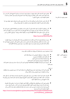**5.3.** 

- نحوه برخورد ما با عکس ها
- مطمین شوید که همه عکس های موجود در موبایل خود را دیده اید و میدانید که هیچ عکس که دردسر ساز باشد وجود ندارد. (مانند: عکس خودتان با پرچم امریکا، شما با خارجیها، یا زنان بدون حجاب و یا شما با اعضای خانواده تان در خارج از کشور.(
- اگر شک دارید، حذف اش کنید. این قابل درک است که حذف چنین عکس ها برایتان دشوار خواهد بود، اما بخاطر داشته باشید که آنها به شکل بلقوه شام و یا دیگران را با خطر مواجه میکند.
- اگر میخواهید که آنها را با خود داشته باشید، آن عکس ها را در فضای ابری یا Cloud اکونتی ذخیره کنید، که حساب اصلی شما نباشد، نام و رمز عبوری آن نیز قبلآ هیچ جای ثبت نشده باشد و سپس از تلفون تان حذف اش کنید. ببینید به طور مثال: Drive Google چیست و چگوه استفاد میشود؟ \* ویدیویی انگلیسی با زیر نویس فارسی\* [https://youtu.be/EbVnObwFJic](https://youtu.be/EbVnObwFJic )
- برخی از برنامهها وجود دارد که این امکان را به شما فراهم میسازد تا عکسهای تان را در پوشه (فولدر) فریب دهنده یا به ظاهر برنامههای دیگر( مثل ماشین حساب مخفی یا البوم عکس خصوصی) پنهان کنید. اما بخاطر داشته باشید این روش مصون نیست چون دیگران نیز در مورد چنین برنامهها اطالع دارند.

قبل از جستجو در ویب سایتهای که میتواند ضد طالبان به نظر برسند:

● حالت مرورگر- جستجوگر خصوصی را در مرورگر فعال کنید

- اگر امکان داشت Cookies را نپذیرید
- بوک مارکها/ نشانک ها را ذخیره نکنید
- دیتا/معلومات وروردی یا پاسورد تان را ذخیره نکنید

● از ورود به وبسایتها با Google یا Facebook خوداری کنید یا آن را به یک حساب وبسایت شخص ثالث وصل نکنید

در عموم:

- کوشش کنید که از مرورگر های ( مثل: موزیلا فایرفاکس) را استفاده کنید که از حریم خصوصی شما محافظت میکند و تنظیمات حریم خصوصی بیشتر را فعال میکند.
- اطمینان حاصل کنید که یک سابقه از ویب سایت های مصون را که بازدید کرده اید، ایجاد کنید. )به طور مثال: همیشه در حالت حفظ حریم خصوصی فعال نباشید.) کامپیوتر/موبایل شما باید نشان دهنده برخی ورودی ها باشد، تا هیچ کسی بر شما مشکوک نشود.
	- مطمین شوید که به مرورگرهای مثل فایرفاکس و گوگل کروم in log نه شده اید ) به طور مثال: اطمینان حاصل کنید که شما به مرورگر کروم به اکونت گوگل/جمیل وارد نشده اید.) اگر در حالی که وارد حساب کاربری خود شده اید، اینترنت را مرور می کنید، حساب شما سابقه تمام فعالیت های شما را نگه می دارد. نتایج جستجو حساس را از بین بربید

[https://www.humanrightsfirst.org/sites/default/files/How%20to%20delete%20](https://www.humanrightsfirst.org/sites/default/files/How%20to%20delete%20your%20history_updated.pdf) [your%20history\\_updated.pdf](https://www.humanrightsfirst.org/sites/default/files/How%20to%20delete%20your%20history_updated.pdf)

 **5.4.**  جستجوی آنالین – گوگل

– یوتیوب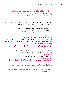#### [https://twitter.com/dooley\\_dooley/status/1427223031429181441](https://twitter.com/dooley_dooley/status/1427223031429181441)

حذف محتوای واقعی سایت را درخواست کنید: حذف نتیجه جستجو باعث حذف محتوا منی شود. برای حذف اطالعات خود از آن سایت باید با صاحب هر سایت در متاس شوید.

در یوتیوب و گوگل

- بخاطر داشته باشید اگر شما در یوتیوب ویدیو جستجو میکنید، این ممکن در حساب کاربر گوگل تان در تلفون هم مَایش داده شود. (این دو حساب معمولاً با هم وصل هستند.)
	- به طور منظم سابقه جستجو در یوتیوب و اکونت گوگل تان را حذف کنید. برای چگونگی حذف فعالیت های گوگل به لینک ذیل مراجعه کنید. <https://support.google.com/accounts/answer/465>

این رهنمای «افشای خودی» - Self-doxing Guide <https://guides.accessnow.org/self-doxing.html>

ممکن است برای درک اینکه چقدر اطلاعات در مورد شما به شکل عموم در دسترس است و به حداقل رساندن چیزهایی که می تواند شما را در معرض خطر قرار دهد، مفید باشد، به ویژه برای فعالانی که بازداشت شده اند و در مورد نظراتشان مورد سوال قرار گرفته اند.

امکان دارد به زودی بخاطر چیزهایی که پست کرده اید یا بر اساس شبکه هایتان هدف واقع شوید. <https://twitter.com/BBCWomansHour/status/1427287851016798213>

اگر شما در سایتی معلومات حساسیت برانگیز خاصی را دریافتید و قادر به حذف آن از ویب سایت شدید، همچنین URL صفحه مخصوص را که معلومات در آن قرار داشت را اینجا نیز وارد کنید. <https://archive.org/web> اگر کاپی آرشیف شده آن موجود بود، پس برای کمک به این آدرس متاس بگیرد. help@accessnow.org <https://cpj.org/2019/09/digital-safety-remove-personal-data-internet/>

> جستجوی آنالین و خدمات دریافت افراد: <https://github.com/yaelwrites/Big-Ass-Data-Broker-Opt-Out-List>

[https://www.eff.org/deeplinks/2020/12/doxxing-tips-protect-yourself-on](https://www.eff.org/deeplinks/2020/12/doxxingtipsprotectyourselfonlinehowminimizeharm)[line-howminimize-harm](https://www.eff.org/deeplinks/2020/12/doxxingtipsprotectyourselfonlinehowminimizeharm)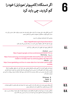اگر دستگاه (کامپیوتر/موبایل) خود را **6 گم کردید، چی باید کرد**



اگر چنین اتفاق بیفتد، خیلی مهم است که باید به طور عاجل وارد عمل شوید و بتوانید خطر دسرتسی یکی را به حساب کابری/اکونت، مخاطبان و معلومات شخصی تان کاهش بدهید.

رهنمایی کمک های اولیه دیجیتالی ما را ببنید.

<https://digitalfirstaid.org/en/topics/lost-device> چون یاد بگیرد که خطر را چگونه ارزیابی کنید و در مرحله بعدی چی کار باید بکنید.

اگر امکانش وجود دارد، تلفون را از راه دور قفل و پاک کنید.

اندوراید – Andriod : <https://support.google.com/accounts/answer/6160491?hl=en> سامسونګ – Samsung : [https://www.samsung.com/za/support/mobile-devices/how-do-i-use-find-my](https://www.samsung.com/za/support/mobile-devices/how-do-i-use-find-my-mobile-to-remotely-wipe-my-samsung-galaxy-s6-edge-plus/)[mobile-to-remotely-wipe-my-samsung-galaxy-s6-edge-plus/](https://www.samsung.com/za/support/mobile-devices/how-do-i-use-find-my-mobile-to-remotely-wipe-my-samsung-galaxy-s6-edge-plus/) آیفون – iPhone : [https://www.igeeksblog.com/how-to-erase-data-from-lost-stolen-iphone-ipad-](https://www.igeeksblog.com/how-to-erase-data-from-lost-stolen-iphone-ipad-remotely )

[remotely](https://www.igeeksblog.com/how-to-erase-data-from-lost-stolen-iphone-ipad-remotely )

شماره مّاس تلفون گم شده را از گروپ های رسانههای اجتماعی خود حذف کنید. (به منظور جلوگیری از اینکه شخصی دریافت کننده تلفون قادر به دسترسی به این گروپهای رسانه های اجتماعی شما نشود.)، برای انجام این فعالیت از قبل باید چندین مدیر مختلف برای چت ها داشته باشید، چون افراد مختلف/مدیران میتواند به راحتی این شماره را حذف کند.

- Whatsapp
	- Signal ●
	- Telegram ●

قام رمزهای عبوری برای حساب های متاثر شده را تغییر بدهید، (به شمول ایمل های بازیابی/ یا تنظیم دوباره) و AF2 را برای متام اکونت ها که قابلیت آن را دارد فعال بسازید.

مخاطبین خود را در مورد گم شدن تلفون تان اطالع دهید و همچنان آنها را از خطر متوجه برایشان مبنی بر سوی استفاده شان توسط فرد که تلفون شما را پیدا کرده است و به آن دسترسی دارد، آگاه سازید.

 **6.1.** 

 **6.3.** 

 **6.4.**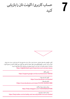



اکثری سکوهای رسانه های اجتماعی، خدمات ایمل و دیگر سایت ها منابع دارند که برای بازیابی حساب شما برایتان کمک میکند. بیشرتین سکوها/پالتفورم ها به طور معمول راه های برای گزارش دهی فعالیت های غیر معمول اکونت ها دارند. ما چندین رهنما را در ذیل لیست کردیم. همچنین این رهنمایی کمک های اولیه را ببنید: <https://digitalfirstaid.org/en/topics/account-access-issues>

> بازیابی گوگل : <https://support.google.com/accounts/answer/183723>

 گزارش کردن فیسبوک : <https://www.facebook.com/hacked> بازیابی فیسبوک : [/https://www.facebook.com/notes/10157814523321886](https://www.facebook.com/notes/10157814523321886/)

> مراحل حمایت برای انستاگرام : <https://help.instagram.com/149494825257596>

مراحل حمایت برای تویتر : <https://help.twitter.com/en/safety-and-security/twitter-account-hacked>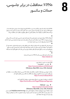VPNs: محافظت در برابر جاسوسی، **8** حمالت و سانسور

VPNها باعث ایجاد یک تونل رمزگذاری شده بین دستگاه )کامیپوتر/موبایل( شام و خروجی های ارائه شده از طریق VPN میشود. بنابر این تنها زمینه دستیابی به ویب سایت های را که مسدود و یا سانسور شده را برایتان میدهد بلکه از فعالیت و ترافیک شام در فضای انرتنتی به منظور جلوگری از نظارت شدن حفاظت میکند.

 ●

 $\bullet$ 

اگر قبلاً از VPN استفاده مَوده اید، با همان یکی به کار خود ادامه دهید. اما بررسی کنید که درست کار میکند. درغیر این صورت از VPN جدید استفاده کنید، و این کار ممکن باعث جلب توجه شام شود! بررسی کنید که کدام VPN ها بیشرت برای پنهان شدن در بین جمعیت موثر است.

 $\bullet$ این همه زمانی کارا خواهد بود، که شما قبل از اینکه سانسور اتفاق بیفتد و یا هم شبکه خاموش ساخته شود، آن را دانلود کنید. استفاده از این ابزار ممکن است اغلب توسط ارائه دهنده انترنت شما شناسایی شود و به عنوان برنامههای نصب شده در تلفون همراه تان، قابل مشاهده برای هر کسی باشد که به تلفون قفل نشده شام نگاه می)کند.

> پس انستال و اجرا، یکبار بررسی کنید که VPN به درستی کار میدهد: <https://ipleak.net>

> > VPN های ضد سانسور با سابقه خوب:

● تیونل بییر – TunnelBear : [https://www.tunnelbear.com/download](https://www.tunnelbear.com/download  ) (Windows, MacOSX, Linux, iOS, Android)

 یاداشت: تیونل بییر برای فعآل به کابران در افغانستان ماهانه تا 10 جی.بی استفاده رایگان است. در گوگل آپ ستور قابل دسترس نیست، اما کابران میتوانند یک APK را از کانال رسمی تلگرام دانلود کند. <https://t.me/tunnelbearofficial>

> اگر افراد در استفاده از تیونل بییر با مشکل مواجه شوند، میتوانند آنرا گزارش کنند: https:/[/forms.office.com/Pages/ResponsePage.aspx](http://forms.office.com/Pages/ResponsePage.aspx)

> > ● مولواد – Mullvad :

<https://mullvad.net/en/download>

(Windows, MacOSX, Linux, iOS, Android)

قیمت ماهانه 5 یورو؛ مجوزهای استفاده از خطوط کمکی مانند (help@accessnow.org) قابل دسترس است، روش خرید به شکل ناشناس و بدون ثبت نام نیز صورت میگرد. همچنین در کنار ارز دیجیتالی میتواند برای خرید آن از پول نقد استفاده کرد.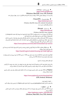● وی.پی.ان.گیت – VPNGate : <https://www.vpngate.net/> (Windows, MacOSX, Linux, iOS, Android) یک لیست از رسورهای عمومی VPN دریافت و ارسال که توسط رضاکارانی از رسارس جهان میزبانی شده.

> ● پروتون وی.پی.ان – ProtonVPN : <https://protonvpn.com/> (Windows, MacOSX, Linux, iOS, Android, Chromebook) به شکل رایگان قابل دسرتس است.

> > ● بیت ماسک – Bitmask : <https://bitmask.net/>

(Windows, MacOSX, Linux, Android) این VPN یک منبع باز است. شما میتوانید از VPN های از قبل تهیه شده توسط ارائه دهنده (riseup.net) یا (calyx.net) استفاده کنید و یا هم خودتان یکی را راه اندازی کنید. بسیاری از VPN های دیگر نیز قابل دسرتس هستند، اما متامی آنها تالش های موثر برای فرار از سانسور یا داشنت امنیت بهتر، حفظ حریم خصوصی و یا رفتارهای تجارتی خوب نداشته اند. اگر به دنبال امتحان گزینه های بیشتر هستید، نگاه بر این آدرس آغاز خوبی بوده میتواند: <https://www.nytimes.com/wirecutter/reviews/best-vpn-service>

● برای چگونگی فعالیت VPN ها، اینکه آنها چی انجام میدهند و یا هم با کدام موارد کمک کننده نیستند؟ این یک منبع خوبی بوده میتواند:  [https://ssd.eff.org/en/module/choosing-vpn-thats-right-you](https://ssd.eff.org/en/module/choosing-vpn-thats-right-you  ) 

لطفاً توجه داشته باشید که اکثراً (نه همه) سایت های مرور VPN از خرید VPN ها سود میبرند و یا هم مرتبط به همان شرکت های هستند که مالک VPN ها می باشند.

ابراز های مختص برای ضد سانسور:

یک ارزیابی انجام دهید که این برنامهها آیا باعث ایجاد خطر برای شما خواهد شد. (مثل: جلب توجه )، اگر آنها در دستگاه شما به شکل نصب شده دریافت شوند و یا هم این کشف شود که شما از آن استفاده میکند.

Psiphon یک VPN برای دور ساخنت سانسور منبع باز است که از تکنیک های مختلف برای دور ساخنت سانسور انت<sub>ا</sub>نت استفاده می کند.

#### <https://www.psiphon3.com/en/download.html>

(iOS, Android, Windows)

- دانلود از طریق ایمل: یک ایمل به آدرس (get@psiphon3.com) بفرستید تا لینک های دانلود Psiphon را با چندین زبان دریافت کنید.

● الترن – Latern : این یک VPN دور ساخنت سانسور برای منبع باز است که از روش های مختلف برای دور ساخنت سانسور انرتنتی استفاده میکند. https:/[/getlantern.org/en\\_US/index.html](https://getlantern.org/en_US/index.html) (Windows, MacOSX, Linux, iOS, Android)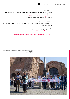● توور – Tor : یک مرورگر برای ناشناس بودن بلقوه است، که از شبکه Tor برای ناشناس باقی ماندن و دور ساخنت سانسور انرتنتی استفاده میکند. [/https://www.torproject.org/download](https://www.torproject.org/download/) (Windows, MacOSX, Linux, iOS, Android)

از طریق ایمل آن را دانلود کنید: به GetTor (gettor@torproject.org) یک درخواست بفرستید با مشخص سازی سیستم عامل تان و( منطقه تان). به طور مثال: "fa windows"

> ● مرورگر اونیون – OnionBrowser (iOS) : <https://onionbrowser.com>

#### <https://apps.apple.com/us/app/onion-browser/id519296448>

— راحیل سیاح، ژورنالست مهاجر افغان در Genoa و الوک امیری، دایرکرت، سکرین رایرت و پرودیورس افغان در اعرتاضی در روم اند که در برابر جینوساید مردم هزاره برگزار شده بود. عکس: متیو ناردونه/ Press Pascific

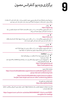**9** برگزاری ویدیو کنفرانس مصون

مسنجرها/ پیام رسانهایکه زمینه متاسهای ویدیویی مصون را فراهم میسازد. در نظر داشته باشید، که استفاده از زیگنال و وایر به دلیل اینکه در اجتماع شما احتمالاً کاربرد بیشتر ندارد، ممکن باعث جلب توجه شود.

#### ● زیگنال : <https://signal.org>

1. مّاس های ویدیویی رمزگذاری شده سر تا سر را برای حداقل هشت اشتراک کننده همزمان فراهم می سازد 2. وابسته به شماره مّاس موبایل همراه تان میباشد

#### ● وایر : <https://wire.com>

1. مّاس های ویدیویی رمزگذاری شده  $\,$ س تا سر و قابل دسترسی برای تا به چهار اشتراک کننده(نسخه رایگان)

- 2. امکان داخل شدن بدون داشتن شماره تماس تلفون همراه را دارد
	- واتساپ :

### <https://whatsapp.com>

1. مّاس های ویدیویی رمزگذاری شده سر تا سر و قابل دسترسی با به چهار اشتراک کننده

2. بخشی از میتا-کمپنی (قبلاً فیسبوک، بنابراین میتا-دیتا قرار است گرفته شود.)

#### جتسی میت- JitsiMeet :

- قاس های تصویری برای تا به 25 مخاطب در سرورهای قابل اعتماد
	- استفاده بدون هزینه
- در کامپیوترها دسرتسی از طریق مرورگر امکان پذیر است، برنامهها برای Andriod و iOS وجود دارند
	- ارائه کنندهگان قابل اعتماد :

<https://meet.greenhost.net> <https://meet.systemli.org>

#### رهنمای استفاده مصون:

https://[www.frontlinedefenders.org/en/resource-publication/guide-secure-](https://www.frontlinedefenders.org/en/resource-publication/guide-secure-group-chat-and-conferencing-tools) [group-chat-and-conferencing-tools](https://www.frontlinedefenders.org/en/resource-publication/guide-secure-group-chat-and-conferencing-tools)

> [https://www.frontlinedefenders.org/en/resource-publica](https://www.frontlinedefenders.org/en/resource-publication/jitsi-meet-simple-and-secure-video-conferencing-platform)[tion/jitsi-meet-simple-and-secure-video-conferencing-platform](https://www.frontlinedefenders.org/en/resource-publication/jitsi-meet-simple-and-secure-video-conferencing-platform)

#### دانلود اپلیکیشن برای تلفون ها: [https://jitsi.org/downloads](https://jitsi.org/downloads )

اگر نیاز به استفاده از ابزارهای کنفرانس مانند https://zoom.us داشتید، مطمئن شوید که ویژگی رمزگذاری -end-to end را فعال کرده اید. :

[https://support.zoom.us/hc/en-us/articles/360048660871-End-to-end-E2EE](https://support.zoom.us/hc/en-us/articles/360048660871-End-to-end-E2EE-encryption-for-meetings )[encryption-for-meetings](https://support.zoom.us/hc/en-us/articles/360048660871-End-to-end-E2EE-encryption-for-meetings )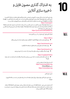به اشرتاک گذاری مصون فایل و **0 1** ذخیره سازی آنالین

برای ذخیره کردن اسناد به شکل مصون در کامپیوتر و یا هم امن ساختن (رمزگذاری) فایل ها قبل از به اشتراک گذاری و یا ذخیره آنالین، برنامه Veracrypt اجازه میدهد تا پوشههای رمزگذاری شده را در سخت افزار و یا به شکل آنالین، در Google Drive یا در Dropbox ذخیره کنید و به دیگران به شکل عادی و یا فایل های سیستم کامپیوتری به نظر می رسد. <https://veracrypt.fr>

پس از استفاده Veracrypt برای رمز گذاری سند به این شکل، پس از آن برنامه را حذف کنید به شمول حذف کردن از Trash دستگاه تان، تا اینکه برنامه باعث جلب توجه نشود. اینکه از Veracrypt چگونه استفاده کنید به این ویدیو که زبان انگلیسی با زیر نویس فارسی است توجه کنید. [https://youtu.be/C25VWAGl7Tw](https://youtu.be/C25VWAGl7Tw )

اشتراک گذاری فایل گزینه های (سر تا سر رمز گذاری شده)

#### <https://ufile.io>

و برای کابران راجستر ناشده: نهایتاً 10ً فایل ( 5 گیگابایت برای هر فایل)، با یک ماه میزبانی رایگان  $\bullet$ 

#### <https://send.tresorit.com>

● برای استفاده کننده های راجستر ناشده قابلیت استفاده تا5 گیگابایت

#### <https://send.tresorit.com>

● اپلود تا به 50 میگابایت میباشد و فایل ها تا بیشتر از 12 ساعت در آن ذخیره نمیشوند.

#### <https://cryptpad.fr/drive>

● ثبت نام به شکل ناشناس الزم است. تا یک جی.بی میزبانی یا هاستینگ رایگان دارد. نام ممکن است جلب توجه مائید!!!

> اگر شام مرورگر Tor را استفاده میکنید. : <https://www.torproject.org> یا هم OnionShare: <https://onionshare.org>

#### ذخیره سازی آنالین

- برای ذخیره سازی آنالین تنها و تنها از مرورگر های استفاده کند، نه از برنامه های نصب شده در دستگاه )کامپیوتر/ موبایل)!

اگر شما برای دسترسی ابری – Could Access از سرور سازمان تان استفاده میکنید. متوجه باشید که UR/Link استفاده شونده ممکن است نام سازمان را نشان بدهد و ارائه دهندهگان خدمات انترنتی شما میتوانند آن را ببینند. در این قسمت استفاده از VPN خطر را کاهش میدهد.

# **10.2.**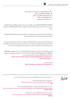● این هایکه تجارتی هستند ممکن باعث جلب توجه کمتر باشد: 20) [io.mega](http://mega.io):/[/](http://mega.io)https جی.بی رایگان( )رایگان بی.جی https://[sync.com](http://sync.com) m (5 https:/[/cryptpad.fr/drive](http://cryptpad.fr/drive) نام ممکن باعث جلب توجه شود!!!

OnveDrive ،Drive Google و iCould نوعیت رمزگذاری رستارسی را ندارند. بناً این رسورها قادر به مشاهده آنچه اپلود کرده اید، هستند، اما اگر شما آن را از قبل حفاظت نکرده باشید. (به طور مثال: استفاده از فایل با ZIP رمزگذار شده یا موارد مشابه.)

ممکن نیاز داشته باشید که تا اسنادی را در جای ذخیره کنید.) مانند: کاپی پاسپورت های اعضای خانواده، قراردادهای کاری شما، اسناد که مستند کننده خطری باشد که شما با آن مواجه شده اید.)

بهرتین کاری که برای ذخیره سازی امن اسنادهایتان انجام داده می توانید اینست که آن را در یک فضای ابری مصون ذخیره کنید که با ایمل اصلی شما استفاده نمیشود. یا هم آن را به یک ایمل آدرس مصون دیگری ارسال کنید که شما میتوانید به آن دسترسی داشته باشید و حساب کاربری اصلی شما نیست و در تلفون و یا هم در کامپیوتر تان ذخیره نشده است.

اکادمیسنها/محصلین کسانی که ضرورت به مصون سازی اسناد و یا معلومات حساس دارند، میتوانند از طرح Article 26 Backpack که توسط پوهنتون کالفورنیا داویس ارائه شده استفاده کنند. اسناد در فضای ابری ذخیره خواهند شد. رهنامیی استفاده از آن به زبانهای انگلیسی و دری در لینک ذیل قابل دسرتس است. https:/[/human-rights.ucdavis.edu/news/afghanistan-emergency-re](http://human-rights.ucdavis.edu/news/afghanistan-emergency-resource- information) [source-information](http://human-rights.ucdavis.edu/news/afghanistan-emergency-resource- information)

> یا هم به زبان دری: <https://backpack.ucdavis.edu/?language=fa>

امتیاز

این دستورالعمل بر مبنای مصاحبه ها با خربنگاران افغان و همچنین با در نظرداشت رهنامهای ذیل ساخته شده است:

1 منابع مصونیت آنالین برای مدافعان حقوق برش افغانستان <https://www.accessnow.org/online-safety-resources-afghanistan> EN

2 چک لیست برای افغان ها کاهش خطر از طریق دیتا/ داده های تلفونها/دستگاهها )20 اگست 2021(

https://[docs.google.com/document/d/19GPJDmMLPagNnbumZwmKZGJaIiRMFmHiJKtuvmL6wl8/edit](https://docs.google.com/document/d/19GPJDmMLPagNnbumZwmKZGJaIiRMFmHiJKtuvmL6wl8/edit) EN, Dari, Pashto

> 3 منابع امنیت دیجیتالی برای افغانستان: قطع شدن انرتنت و حریم خصوصی آنالین https:/[/drive.google.com/drive/folders/1v9WvDvoCPjP13Y2Lsd0hqwDt6mqEgvtW](http://drive.google.com/drive/folders/1v9WvDvoCPjP13Y2Lsd0hqwDt6mqEgvtW) EN, Dari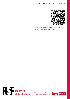

[https://helpdesk.rsf.org/digital-security-guide/](https://helpdesk.rsf.org/digital-security-guide/afghanistan-digital-care-guide/) [afghanistan-digital-care-guide/](https://helpdesk.rsf.org/digital-security-guide/afghanistan-digital-care-guide/)



Senate Department for Economics,<br>Energy and Public Enterprises

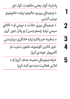پاملرنه کول، یعنی مقاومت کول دي د ډیجیتالي بېړنیو حالتونو لپاره د تلفونونو بېړنۍ کرښې د ډیجیتالي بېړني حالت، د نیونې او د تالاشي سیمې لپاره چمتو وسئ | یو پالن جوړ کړی د ښځینه خربیاالنو لپاره ځانګړې سپارښتنې خپل انالین اکونټونه، تلفون، تبلیت او کامپیوټر خوندي کړئ خپله ډیجیتالي مخینه حذف کړئ او د انالین فعالیت نښه مو کمه کړئ  **1 2 3 4 5**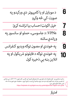**6 7 8 9 10**  د موبایل او یا کامپیوټر دې ورکېدو په صورت کې څه وکړو خپل اکونټ/حساب بیا ترالسه کړئ VPNs: د جاسوسۍ، حملو او سانسور په وړاندې ساتنه په خوندي او مصون توګه ویدیو کنفرانس په خوندې توګه د فایلونو رشیکول او په انالین بڼه یې ذخیره کول

ستاسو د پاملرنې وړ: کوم معلومات او منابع چې دغه ډیجیتايل الرښود کې ځای پر ځای شوي، د ٢٠٢٢ کال د مې میاشتې له راهیسې دي او د دوه کلونو لپاره به په هر شپږو میاشتو کې اپدیت یا نوي کیږي. د معلومات نوې شوې بڼه له دغه آدرس څخه دانلود کولی شئ: [/https://helpdesk.rsf.org/digital-security-guide/afghanistan-digital-care-guide](https://helpdesk.rsf.org/digital-security-guide/afghanistan-digital-care-guide/)

امتیاز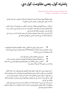**پاملرنه کول، یعنی مقاومت کول دي.**

" ځان ته پاملرنه کول، زیاده غوښتنه نه ده، بلکې د خپل ځان د خوندي ساتلو په مفهوم ده، او دا د سیاسی جګړې یوه کړنه ده." )اودره لرده(

خپلو وسایلو(کامپیوټر/موبایل) او ډېټا یا معلوماتو ته پام کول، نه یواځې د خپل ځان خوندي ساتنه ده، بلکې د ټولې ټولنې د خوندي ساتنې په مفهوم ده.

خبریالان، د رسنیو کارکوونکي او فعالان خپل ژوند له ګواښ سره مخ کوي، که د دوی له انلاین ډېټا/معلوماتو، برنامو، او اړیکو څخه د هغوی او یا د بل کس په وړاندې چې له دوی سره په اړیکه کې دي، د شواهدو په توګه کار واخستل شي. امکان لري، چې دا ډول ډېټا یا معلوماتو، برنامو او داسې نورو مواردو ته لاس رسی ترسره شي. همدارنګه ممکنه ده، چې کله هم دا لاندې سناریوګانې رامنځته شي.

د حملې، لټونې، نیونې او د تالاشي پر مهال د ټلفونونو، ټبلیتونو، کامپیوټرونو، د ځېرک ساعتونو او د نورو بیا ترلاسه کېدونکو( USB ګانو، هارډسکونو، او نورو څېزونو) مصادره کول او هغوی ته الس رسی پیدا کېدل.

- د ډیجیتالي ارتباطاتو او انلاین اړیکو څارل کېدل
- پر وسایلو(کامپیوټرونو/موبایلونو) او اکونټونو د ډیجیتالي حملو ترسره کېدل

د خلاصې سرچینې اطلاعات | پر هغو پلاتفورمونو تحقیق کول چې په عام شکل ورته الس رسی کیږي، لکه: فیسبوک او ویکي پدیا

د دې په پوهېدو چې نه شو کولی له ټولو متوجه ګواښونو مخ نیوی وکړو، خو د ځینو ځانګړو اقداماتو په ترسره کولو سره لکه په خپلو وسایلو(کامپیوټر او موبایل) کې د کمو معلوماتو په ځای پر ځای کولو، د اړیکو له خوندي کانالونو څخه د کار په اخیستلو او د خپلو وسایلو په مصون کولو سره کولی شو دا احتمال چې یاد ډېټاوې او پروګرامونه زمونږ په وړاندې د شواهدو په توګه وکارول يش، کم کړو. په عین وخت کې، ځیني دا خوندي اقدامات به په ګواښ هم بدل يش، که چېرې زمونږ انالین پروګرامونه له غلط لوبغاړو (نړېوالې ټولنې او یا هغه ته ورته سازمانونو) سره د مرتبطو شاخصونو په توګه په پام کې ونیول شي.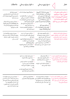|                                                                                                                                                                                                                                                                  | د ځواب ويلو مرحلې     ملاحظات                                                                                                                                                                                                                                                                                | د مخ نيوي مرحلې $\bigwedge$                                                                                                                                                                                                                                                   | خطر                                                                                                                                                     |
|------------------------------------------------------------------------------------------------------------------------------------------------------------------------------------------------------------------------------------------------------------------|--------------------------------------------------------------------------------------------------------------------------------------------------------------------------------------------------------------------------------------------------------------------------------------------------------------|-------------------------------------------------------------------------------------------------------------------------------------------------------------------------------------------------------------------------------------------------------------------------------|---------------------------------------------------------------------------------------------------------------------------------------------------------|
| ▪ امهمه پرېکړه کول<br>آيا تر فشار لاندې به اجازه ورکړئ چې<br>ستاسو وسیلې (کامپیوټر/موبایل) ته لاس<br>رسي ترسره شي؟<br>▪   په پام کې مو وي چې ايا کډ لرونکی<br>ملاتړ (Backup) او یا کډ لرونکي فایلونه<br>توجه ځان ته راجلبوي او ايا تاسو به له<br>خطر سره مخ کړي؟ | ▪ وسایلو(کامیپوټر/موبایل) ته نه لاس<br>رسی<br>▪   له لرې لارې د دستګاه پاکول او یا<br>Device ته د داخلیدو د بې پایلې<br>هڅې په نتيجه کي په اتوماتيک بنه د<br>کامپیوټر/موبایل پاک کول<br>■   متاثر کیدونکي او احتمالي خطر<br>سره د مخ کسانو خبرول<br>د معلوماتو او اکونټونو بيا موندنه<br>او بېرته ترلاسه کول | ▪ زمونږ په Device (کامپیوټر/<br>موبایل) کې د معلوماتو یا ډېټا د<br>ساتنې کچه نا محسوس خو<br>واقعبينانه حداقل ته را ټيټول<br>■ زمونږ په Device کې د<br>معلوماتو يا ډېټا مصون او خوندي<br>كول<br>د وسایلو مصون کول<br>▪   اټولې ډېټا يا معلوماتو ته د کډ<br>لرونکي Backup جوړول | د حملې، پلټنې، نيونې او د<br>تالاشي پر مهال د موبايلونو،<br>تبلیتونو، کامپیوټرونو او د ځیرک<br>لاسي ساعتونو مصادره او يا<br>هغوی ته لاس رسی پیدا کول.   |
| ■      مصون او خوندي پروګرامونه او یا<br>چینلونه لکه VPNs ممکن دی، پام ځان<br>ته راجذب کړي او د ګواښ د رامنځته<br>کېدو سبب شي                                                                                                                                    | ▪   د امکان په صورت کې د ترسره<br>کېدونکي نظارت/څارنې په اړه اسناد<br>را ټول کړئ<br>د خدماتو وړاندې کوونکو له لوري د<br>ناوړه کټې اخستنې دحفاظت د<br>ميكانيزمونوفعالهكول<br>متاثره او متضرر کېدونکي اکونټونه<br>Backup او غير فعاله كړئ                                                                      | ▪ د انلاين اکونټونو خوندی کول<br>■   له انلاين خوندي خدمتونو ګټه<br>اخيستنه ( لکه بشپړ کډ شوي<br>مسنجرونه، انلاین ذخیره کول، لټونونه،<br>ویډیو کنفرانسونه او داسې نور)<br>■ د VPN او يا د ورته ابزارو له لاري<br>انترنت ته زمونږ د لاس رسي خوندي کول                          | د ډيجيتالي اړيکو او انلاين ارتباطاتو<br>نظارت/ څارنه ( البته د چارواکو، د هغوی<br>د متحدينو، د انترتي خدماتو وړاندې<br>كوونكو او مخابراتي شركتونو لخوا) |

• حملې او ټول شواهد مستند کړئ

• حمله شوې دستګاه خاموشه

وساتئ

• اکونټونه مو د خدماتو د وړاندې کوونکو او یا د بېړنۍ مرستې د غوښتنې د خطونو له الرې ترالسه کړئ.

• د بیا ترالسه شویو اکونټونو لپاره مو

د FA2 اپشن/اختیار فعاله کړئ

د خلاصي سرچينې اطلاعات (اوسنت) | په مختلفو پالتفورمونو کې کله لټون چې په عمومي شکل د لاس رسي وړ وي. ( لکه فیسبوک او وکی پدیا)

چارواکو او یا د هم مجرمانو له لوري د

شواهدو ځای پرځای کول.)

پر ډيجيتالي وسايلو او اکونټونو حملې ( د **"** د دستګاو خوندي کول

جاسوسۍ وسیلې، هک کوونکې حملې، د • د انالین اکونټونو خوندی کول

• د اجرايي سیستم او پروګرامونو

• د ټولنیزو شبکو له الرې د ناپېژنده

اپډېټ کول

کړئ

اړیکو د غوښتنې ردول

• د معلومات په ملنځه وړلو او یا له نورو پالتفورمونو څخه د اطالعاتو د لرې پالتفورمونو شواهد ملنځه یوسئ کولو په غوښتنې سره په دیجیتالي فضا کې دخپل نښان د پاتې کېدو کچه کمه • هڅه وکړئ چې له انالین

• متوجه وسئ، چې ډېری معلومات به په بشپړ ډول ملنځه نه ځي، او که داسې ويش هم نو یواځې په وېشل شوي مالتړ کې د ځنډ او د پالتفورمونو د بېا راګرځېدو ماشین او د ذخیره کوونې د نورو خدماتو له امله به وي.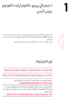د دیجیتالي بېړنیو حالتونو لپاره د تلفونونو بېړنۍ کرښې



نور اختیارونه:

**1**

[https://cpj.org/emergency-response/how-to-get-help](https://cpj.org/emergency-response/how-to-get-help/)

<https://www.frontlinedefenders.org/emergency-contact>

د ډیجیتالي حقونو بنسټ دا ډول قضیو ته د لاندې ادرس له لارې ځواب وايي. [helpdesk@digitalrightsfoundation.pk](https://digitalrightsfoundation.pk/)

که ګامن کوی چې ستاسو پر تلفون د Spyware په وسیله او دې ته ورته پروګرامونو باندې حمله شوې، VPN Emergency د Civilsphere پروژې له الري دررسه مرسته کوي ترڅو خپل تلفون چک کړی او وېڅارئ:

<https://www.civilsphereproject.org/emergency-vpn>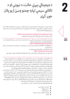**2**

د ډیجیتالي بېړني حالت، د نیونې او د تااليش سیمې لپاره چمتو وسئ | یو پالن جوړ کړی

د انالین مصونیت د تامینولو لپاره، دا تشخیص کړئ چې له څه ډول ګواښ رسه مخ یاست او یا کوم انالین فعالیت تاسو له خطر سره مخ کوي ـ د ګواښ نوعیت څه ډول دی؟ د ډیجیتالي امنیت په اره دغه لاندې لینک تاسو سره مرسته کوي چې خپلو پوښتونو ته ځواب پیدا کړی.

<https://www.accessnow.org/first-look-at-digital-security/>

کله چې د ګواښ په اړه فکر کوئ، لطفاً دا الندې مواردو ته هم پام وکړی.

یو پلان جوړ کړئ او هغه د دې لپاره چې احتمال یې شته ممکن تاسو او یا هم له تاسو سره یو ارتباط لرونکی کس به د چارواکو لخوا ونیول يش. الندې الرښود ته پام وکړئ. <https://digitalfirstaid.org/en/arrested/>

دا د RaReNet او د CiviCERT لخوا ترتیب شوی او په کې د ډیجیتايل امنیت خونديتوب په اړه معلومات په کې ځای پر ځای شوي دي. همدا راز له زندان سره د مقابلې لارښود هم موجود دی. <https://coping-with-prison.org>

دغه الرښود کې د نیول شوي شخص د کورنۍ غړو، د هغه مالتړ کوونکو او وکیالنو لپاره معلومات را ټول شوي.

2.2 | د تالاشي/پلټنې په ځایونو کې او د حملې پر مهال چمتو وسئ دا چې چارواکي به ستاسو (کامپیوټر او موبایل) مصادره کړي او یا به پر تاسو فشار راوړي ترڅو هغه ورته خلاص کړی. خپل تلفون له ځان سره د باندې مه وباسئ، او یا هم داسې یو تلفون دررسه واخلئ چې حساس اطالعات لکه د اړیکو شمېرې او یا ورته معلومات په کې نه وي. په خپلو وسایلو خاصتاً موبایل کې د ډېټا/معلوماتو د ذخیرې سطح ټېټې کچې ته راورسوئ. – طاليئ قانون دا دی: که شک کوئ، معلومات مو ملنځه یوسئ. هېڅ داسې معلومات د دې ارزښت نه لري چې په خاطر یې ستاسو او یا ستاسو د یوه ملګري ژوند له خطر سره مخ شي. ( دلاندې نکات د محتویاتو او اکونټونو د لمنځه وړولو لپاره دي.) << پریکړه وکړئ چې آیا غواړئ چې خپلو وسایلو/دوایسونو ته الس رسی ولرئ او که نه؟ دا به یوه ساده پرېکړه نه وي، خو ښه دا ده مخکې له دې چې وررسه مخ شئ په اړه یې فکر وکړئ. پام مو وي چې د تاسو د حضور په صورت کې ممکن دی ستاسو د ګوتې اثر او یا ID-Face د فشار په وسیله درباندې خالص کړل يش. په iOS البته پخوانیو ایفونونو کې د بېړني حالت اختیار/اپشن شته چې څو ځله د پاور دکمې په فشار ورکولو سره ممکن د Face-ID او یا د ګوتې د اثر له مرحلې د رمز غوښتنې پړاو ته ورداخل شي. همداراز په نویو ایفونونو کې په پیل کې د Emergency SOS په خاموشه کولو او د دوه ثانیو لپاره د غږ او یا د بغلي دکمې په هم مهاله کیکاږلو سره دا کار کیږي. له دې طریقې څخه د ګتې اخستنې لپاره ځان چمتو کړئ، که د هغو استفاده ته مو اړتیا درلوده. هغه پروګرامونه/Apps چې تاسو او یا نورو ته د خطر سبب ګرځېدلی شي.

- ادرسونه/ د اړیکو شمېرې
	- د مسنجر پروګرام
	- د فیسبوک اکونټ
- ټویټر او د ټولنیزو رسنیو نور حسابونه
	- ایملونه

 **2.2.**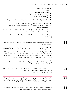- یاداشتونه او غږیز یاداشتونه
	- عکسونه
- پلټنه/ په ویب کې د پلټنې مخینه
- په یوټیوب کې ستاسو کتلې وېډیوګانې/ ګوګل اکونټونه
	- په کامپیوټر او تلفون کې ذخیره شوي اسناد
		- د VPN پروګرامونه
- د ګوګل/ او اپل مپ اطلاعات او د موقعیتونو مخینه ( د اپل لپاره ځانګړي موقعیتونه، د ګوګل لپاره د موقعیتون مخینه(
	- د تقویم برنامې جنرتي چې ممکن په کې د ننوتو حساس معلومات شامل وي
	- ه د موزیک پروګرامونه ( ځیني موزیکونه ممکن د سیاسي او مذهبي اړخه مناسب ښکاره نه شي.)
		- د دوست موندنې پروګرامونه

پام مو وي چې پاک شوي توکي د خپل کامپیوټر/موبایل د باطله سطل نه هم پاک کړئ او دا چې د یو متخصص شخص یو تحلیل کولی يش چې د حذف/پاک شویو توکو اثار را پیدا کړي.

کله چې غواړی هر څه له تلفون نه پاک کړی، حداقل خپل ځیني شخيص تصویرونه وساتئ ترڅو ښکاره کړي چې له دې تلفون کار اخستل کېده.

په خپل تلفون کې د اړیکو د شمېرو د خاوندانو نومونه پښتو او یا دري ته واړوئ، او وګورئ که اړتیا وه نړېوالې شمېرې له خپل موبایل پاکې کړئ.

● په ګرځنده تلفون کې مو شته ادرسونه، د مسنجر مخاطبین، او یا د خپل چت مخینه چې د بهرنیو نومونو او یا د ادرسونو ښکارندوی وي

● که غواړئ چې د مخاطبینو یو نوملړ یا ادرسونه دررسه ولرئ، هغه په خپل تلفون او یا لب تاپ کې مه ساتئ! هغه خپل ځان ته په یوه ایمل در ولېږئ چې ستاسو اصيل ایمل نه وي. د هغه ایمل د خالصولو کډ او ادرس په خپل لب تاپ یا تلفون کې مه درسره ذخیره کوئ او د هغو نښه په خپل وسیله که مه پرېږدئ. ( د مثال په توګه: که تاسو له خپل اصلي ایمل بل ایمل ته پیام استوئ، لا به یې کاپي ستاسو د استونې به فولدر کې پاتې وي.)

● هر هغه ایمل چې درته زیان جوړولی يش، له خپل پیام خونې، د استونې له برخې، او یا د لومړين پړاو له برخې پاک کړئ او ډاډه شئ چې د باطلې فولدر مو هم پاک کړئ.

د مسنجر او نورو انالین ګروپونو لپاره: وار له مخه څو مختلف کسان د دغو ګروپونو د مدیرانو په توګه وټاکئ، ځکه د اړتیا په وخت د دغو ګروپونو مدیران کولئ يش یو غړی له ډلې حذف کړي. (د مثال په توګه: که له چا یې تلفون مصادره شي.)

د ټولنیزو رسنیو له لارې د اړیکو نیولو غوښتنو ته ځواب مه وایاست، که اړیکې ستاسو د ملګرو او یا د اعتمادي کانالونو له لوري نه وي. داسې پېښې شته چې یوه کس ځان بهرنی خربیال معريف کړی دی او د مرکې غوښتنه یې کړې، خو بیا د ورکول شوي اطالعاتو څخه یې منفي ګټه اخیستې او بیا یې د قرباين د تعقیب لپاره کاروي.

د خصوصي شویو ایمل ادرسونو پر ځای له ترکیبي ایملونو څخه کار واخلئ، په دې مفهوم چې دا ایملونه ستاسو د نوم او محتویاتو بیانوونکي نه وي ترڅو په وسیله یې ستاسو هویت تشخیص نه شي.  **2.4.** 

 **2.5.** 

 **2.6.**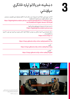**3**

د ښځینه خربیاالنو لپاره ځانګړې

سپارښتنې

که تاسو د یوې ښځې په توګه تثبیت او وپېژندل شئ، ممکن تاسو له ځانګړو ډیجیتالي امنیتي ګواښونو سره مخ شئ. لاندي د ډیجیتالي حقونو د بنسټ لارښود ته یام وکړئ.| [https://digitalrightsfoundation.pk/wp-content/uploads/2017/11/Hamara-Inter](https://digitalrightsfoundation.pk/wp-content/uploads/2017/11/Hamara-Internet-Guidebook-English-Version-2016.pdf )[net-Guidebook-English-Version-2016.pdf](https://digitalrightsfoundation.pk/wp-content/uploads/2017/11/Hamara-Internet-Guidebook-English-Version-2016.pdf )

> دا بنسټ همدا راز په پښتو ژبه چوپړتیاوې وړاندې کوي.|  [/https://digitalrightsfoundation.pk/services](https://digitalrightsfoundation.pk/services/   )

د هغه ښځو لپاره چې له ناوړه استفادې سره مخ دي د Chayn لخوا د انلاین مصونیت یو لارښود جوړ شوی. دا لارښود په مختلفو ژبو دی. [/https://www.chayn.co](https://www.chayn.co/)

> پښتو : <https://chayn.gitbook.io/diy-online-safety/pashto-p-tw>

فارسي : <https://chayn.gitbook.io/diy-online-safety/farsi-farsy>

انگلیسی : <https://chayn.gitbook.io/diy-online-safety/english>



— په Genoa کې افغان کډواله ژورنالیست راحیل سیاح او همداراز افغان ډایرکټر، پرودیورس او سکرین رایټر الوک امیری چې په روم کې د هزاره ګانو د ټول وژنې په هکله جوړ شوي اعرتاض کې ښکاري.

تصویر: ماتیو ناردون / Press Pasific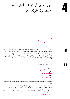

خپل انالین اکونټونه، تلفون، تبلیت او کامپیوټر خوندي کړئ

د تلفون یا د کامپیوټر د خالصولو لپاره د داخلېدو رمز ته اړتیا لرئ د خپلې وسیلې لپاره د ټول دسک -رمز ورکونې بټن فعاله کړئ. (که فکر کوئ، د تاسو د وسیلې د پلټنې په صورت کې دا مورد پام ځان ته راجذبوي، د توجیه او د خپل موبایل یا لب تاب د امن کولو لپاره وار له مخه یو جوړ کړی داستان له ځان سره، ویلو ته ولرئ.) که چېرې د تالاشي له کوم ځای سره مخ شوئ، خپله وسیله خاموشه کړئ، او د نه پاملرنې په حالت یې پرېږدئ. که کله مو غوښتل چې د خپلې وسیلې (کامپیوټر/موبایل) رمز شریک کړئ او کنه نه؟ د معلوماتو لباره په دوهمه برخه کې شته نکاتو ته پام وکړئ.

په بشپړ ډول کډ شويو برنامو لکه

واتساپ : <https://whatsapp.com> یا زیګنال : <https://signal.org> یا وایر : <https://wire.com>

څخه استفاده وکړئ او د لیکلو پیامونو لپاره د پیامونو د ورکېدو بټنه فعاله کړئ او یا هم په منظم ډول خپل مسجونه پاکوئ. پام مو وي، چې د زیګنال او وایر په شان پروګرامونه په معمول ډول نه کارول کیږي، او یا هم د سازمانونو او نړېوالو موسسو د غړو او یا د غیر دولتي بنسټو د استازو لخوا کارول کیږي، ممکن چې د پام د اوښتو سبب شي. سره له دې چې ممکن دا له واتساپ ډېر مصون هم وي. خو د زیګنال لپاره په Andriod کې یو بدیل زیګنال میشته مسنجر شته، چې Molly یادیږي او ممکن ډېره توجه ځان ته را جلب نه کړي. <https://molly.im/>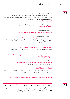## **4.3.**

په خپل اکونټونو کې امنیتي تنظیمات چک کړئ. وګورئ چې آیا تاسو کومو مهمو مواردو ته پام کړئ او که نه او هم د امنیتي خربداري بټنه فعاله کړئ. که امکان یې وه، تاسو د (2AF) اپشن/اختیار چې په بشپړ ډول ورته -2 Factor-Authentication وايي، هغه د هویت د تصدیق کولو په یوه پروګرام لکه freeOTP فعاله کړئ:. [/https://freeotp.github.io](https://freeotp.github.io/)

> او یا هم Aegis د Andriod لپاره ) ځکه په پاسورد رسه د قفل کېدو قابلیت لري.( [/https://getaegis.app](https://getaegis.app/)

او همدارنګه Raivo د iOS لپاره : <https://apps.apple.com/us/app/raivo-otp/id1459042137>

ګوګل (په موبایل ټلفونونو کې) :  [/https://myaccount.google.com/security-checkup](https://myaccount.google.com/security-checkup/) پام وکړئ، که تاسو خپل اکونټ د کوم تلفون له شمېرې سره وصل کړی وي، ستاسو اکونټ کېدای شي چې د تلفون د شمېرې له الرې تعقیب کړل يش.

> فیسبوک : [/https://www.facebook.com/help/799880743466869](https://www.facebook.com/help/799880743466869/) که تاسو د فیسبوک له مسنجر کار اخلئ دا ښه ده چی له (Secret Conversations) څخه کار واخلئ.

 واتساپ : [https://faq.whatsapp.com/general/verification/how-to-manage-two-step-verifi](https://faq.whatsapp.com/general/verification/how-to-manage-two-step-verification-settings/?lang=en)[cation-settings/?lang=en](https://faq.whatsapp.com/general/verification/how-to-manage-two-step-verification-settings/?lang=en)

> ټلګرام : [https://telegram.org/blog/sessionsand-2-step-verification](https://telegram.org/blog/sessionsand2stepverification) الندې لینک د ټولو ایمل ادرس وړاندې کوونکو په اړوند اسناد دي.

#### [https://2fa.directory/#email](https://2fa.directory/#email )

ډاډه شئ چې مالتړیز او بیاموندونکي کډونه مو له خپل تلفونه د باندې چېرې نوټ کړئ چې د تلفون د غال، ماتېدو او یا هم د بطرۍ د ختمېدو په صورت کې خپل اکونټ بیا ترالسه کړئ.

> نور معلومات: <https://ssd.eff.org/en/module/how-enable-two-factor-authentication>

> > **4.4.**

که غواړئ، چې د ناپېژنده پاتې کېدو لپاره، د تلفون شمېره نوې کړئ، او یا تلفون بدل کړئ. پام مو وي چې تل دواړه یو ځای سړه بدل کړئ. سره له دې چې دواړه په جلا جلا ډول خو په یو وار د تلفوني ټاورو لخوا پېژندل کیږي. ( سیم کارت مٰبر + د تلفون IMEI منرب(، د یوه بدلول کفایت نه کوي ځکه دویم یې ال هم د پېژندنې قابلیت لري.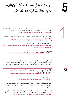**5**

خپله ډیجیتالي مخینه حذف کړئ او د انالین فعالیت نښه مو کمه کړئ



دا لا نده روښانه چې ایا او څومره د دښمن ځواکونه د بشر حقونو د مدافعانو او د خبریالانو انلاین فعالیت څاري او که نه؟ دا وضعیت په سرعت سره د ودې په حال کې دی او د انلاین معلوماتو پاکول کولی شي موثر ووسئ. <https://news.trust.org/item/20210817111442-4d73x>

دا ممکن په افغانستان کې ستاسو انالین مصونیت او خوندیتوب ته صدمه رسوي. الندې ځینې الرښونې د WIRED لخوا وړاندې شوي. <https://www.wired.com/story/how-to-clean-up-your-digital-history/>

همداراز First Rights Humanالندي معلومات وړاندې کوي. [https://www.humanrightsfirst.org/sites/default/files/How%20to%20delete%20](https://www.humanrightsfirst.org/sites/default/files/How%20to%20delete%20your%20history_updated.pdf) [your%20history\\_updated.pdf](https://www.humanrightsfirst.org/sites/default/files/How%20to%20delete%20your%20history_updated.pdf)

> فارسی بڼه یې : [https://twitter.com/dooley\\_dooley/statu s/1427223031429181441](https://twitter.com/dooley_dooley/statu s/1427223031429181441)

> > پاملرنه:

- د دریم ډلې خدماتو ته د خپلو شخيص معلوماتو په ورکولو کې ډېر پام وکړئ.
- ځیني پالت فورمونه د معلوماتو د ساتنې پالیيس ګانې لري، چې د قانوين د اجرا لپاره حسابونه آرشیف کوي.
- ممکنه ده چې ستاسو حذف شوې ډېټا/معلومات لا هم په محلي کچه ستاسو په تلفون او یا کمپیوټر کې وساتل شي.

5.1 | څه ډول ټاکل شوي محتویات لکه عکسونه او پستونه پاک کړو او یا یې په خوندي توګه وکاروو. لاندې یې په اړه فارسي لارښود دی: | [https://twitter.com/dooley\\_dooley/status/1427223031429181441](https://twitter.com/dooley_dooley/status/1427223031429181441)

> فیسبوک – Facebook <https://www.facebook.com/help/261211860580476/>

● طالبان په فیسبوک کې پراخ حضور لري او ممکن له هغو د هغه کسانو چې وررسه په اشکارا ډول مخالفت لري او یا له بهرنیانو سره کار کوي او یا هم هغه کسان چې د ګتې اخستنې مناسبې سرچینې دي، د دوی د پېژندو په خاطر استفاده کړي.

● فیسبوک د اکونټ د قفل کولو لپاره داسې وسیله/ابزار جوړ کړي چې کولی يش په یوه کېکاږلو رسه، ټول پروفایل قفل شي، ترڅو هغه کسان چې ستاسو ملګري نه دی، ونه توانیږي چې د پروفایل عکس او یا لیکنې دانلود کړي. | <https://twitter.com/ngleicher/status/ 1428474008295464965>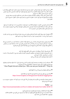● یو سیمه ییز اکونټ جوړ کړئ او یواځې د خپلو سیمه ییزو دوستانو لپاره مو وي، ترڅو په خپل تلفوين پروګرام کې د هغو په ساتلو سره له خپلو نړېوالو مخاطبینو سره له اړیکې مخ نیوی وکړئ. خپل اکونټ ترڅو چې ممکن وي عمومي یې کړئ، سیايس او مذهبي مطالب مه خپروئ. له یوه عمومي عکس څخه د پروفایل په توګه کار واخلئ او ممکن تاسو د دغه اکونټ لپاره یو مستعار نوم هم وکاروئ. خو پام وکړئ که خپل نوی حساب د تلفون له شمېرې سره وصل کړئ، ممکن د تلفون د شمېرې له لارې تعقیب شئ.

● ځان ډاډمن کړئ چې د اکونټ د معلوماتو څانګه مو د عموم لپاره د مشاهدې وړ نه ده. خپل اکونټ ته مو هېڅ ډول کاري سابقه مه وراضافه کوئ. ډاډ ترلاسه کړئ چې ستاسو پخوانۍ هېڅ ډول اړیکه چې له بهرنیو بنسټونو سره وه او یا ستاسو کاري سابقه په اکونټ کې د لیدلو وړ نه ده.

● که غواړئ له خپل نړېوال اکونټ څخه کټه واخلئ، یواځې داسې وخت هغه ته ورداخل شئ چې یا په امن ځای او یا هم په کور کې یاست. د هغه پاسورد په خپل لب تاپ او یا موبایل کې مه ذخیره کوئ.

● خپل فیسبوکي پستونه وڅېړئ (هر هغه شی چې په بلقوه توګه د اعتراض د رامنځته کېدو سبب ګرځېدلی شي، پاک یې کړئ.)، د دوستانو په نوملړ کې مو ( هر هغه کس حذف کړئ چې کولی شي د شک د رامنځته کېدو سبب وګرځي په ځانګړې توګه بهرنیان.)، هغه صفحې او ګروپونه مو چې پخوا لایک/خوښ کړي هم وڅېړئ.

● د خپل فیسبوک خاصتاً د پروفایل او د مخینی عکس (کاوور فوتو) چک کړئ. د دغو عکسونو ټول تنظیامت وڅېړئ هم د پخوانیو عکسونو په ګډون او مطمین شئ چې دا عکسونه پرته له ستاسو د اعتماد وړ دوستانو نور څوک نه شي لیدلی. که کوم (سئوال پاروونکی) عکس لرئ، پاک یی کړئ.

● د دوستانو د ليست مشاهده مو محدوده کړئ، ترڅو نور کسان يې ونه شي لېدلئ. ( او له ټولو دوستانو مو وغواړئ چې همداسې وکړي.) دا کار ستاسو د فیسبوک د تنظیماتو په برخه کې برابریږي. | ".How People find and contact you / Who can see your friends list? / "Only me

● خپل افغان وطنوال په فیسبوک کې مه تګ/tag کوئ.

● هغه بټنې چې کولی يش تاسو په عکسونو کې تګ کړئ، غیر فعاله کړئ. https:/[/www.hongkiat.com/blog/prevent-facebook-tagging/amp/](http://www.hongkiat.com/blog/prevent-facebook-tagging/amp/)

.1 هغه پستونه او عکسونه چې ملګرو مو تاسو پخوا په کې تګ کړي یاست، مرور کړئ، که د ستونزې د جوړېدو سبب کیږي، تګ ترې لرې کړئ.

ټویرت - Twitter <https://www.businessinsider.com/how-to-delete-old-tweets-from-twitter-2018-12>

● فیسبوک ته ورته قواعد پر ټویتر او نورو ټولنیزو رسنیو هم پلی کیږي. د هغه کسانو لیست چې تاسو فالو کوي/څاري وګورئ، هر څوک او یا هر ټویت چې کولی يش د طالبانو مخالفت راوپاروي، د هغه لغوه او یا یې حذف کړئ.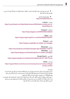● ډاډمن شئ چې تاسو د ټویت کولو لپاره د ټویت د موقعیت ښودلو تنظیامت نه دي فعاله کړي. که داسې مو کړي وي، هغه غیر فعال کړئ.

> ● پخواين ټویتونه پاک کړئ: <https://semiphemeral.com>

لینکدان – Linkedin [https://www.linkedin.com/help/linkedin/answer/3003/delete-content-you-ve](https://www.linkedin.com/help/linkedin/answer/3003/delete-content-you-ve-shared?lang=en)[shared?lang=en](https://www.linkedin.com/help/linkedin/answer/3003/delete-content-you-ve-shared?lang=en)

> انستاګرام – Instagram <https://help.instagram.com/997924900 322403>

زیګنال –Signal <https://support.signal.org/hc/en-us/articles/360007320491>

> ټلګرام – Telegram [https://telegram.org/faq#q-can-idelete-my-messages](https://telegram.org/faq#qcanideletemymessages)

مسنجر –Messenger <https://www.facebook.com/help/messenger-app/194400311449172> واتساپ – WhatsApp https:/[/faq.whatsapp.com/android/chats/how-to-delete-messages/](http://faq.whatsapp.com/android/chats/how-to-delete-messages/)

ګوګل لټون – Search Google <https://support.google.com/websearch/troubleshooter/3111061?hl=en>

ټیک ټاک – TikToK https:/[/support.tiktok.com/en/account-and-privacy/account-privacy-settings/](http://support.tiktok.com/en/account-and-privacy/account-privacy-settings/privacy-controls) [privacy-controls](http://support.tiktok.com/en/account-and-privacy/account-privacy-settings/privacy-controls)

ویکي پدیا:

که مو په ویکي پدیا یا د ویکي مدیا په نورو پروژو کې داسې کوم اطلاعات وموندل چې کولی شي تاسو ته او یا په افغانستان کې نورو کسانو ته صدمه ورسوي، لطفاً د هغه په اړه له دغه ایمل ادرس سره په اړیکه کې شئ. @ca org.wikimedia او د موضوع د عنوان په برخه کې AFG ورته ولیکئ. د خپلو ملګرو د پروفایل یا مخینې یا کاوور عکس چک او مرور کړئ. او که هر کوم د دغو عکسونو درته د پوښتنې وړ وه،( د مثال په توګه: که د طالبانو پر ضد یې د یوه بیرغ یا بنر ښکارندینه کوله) له دوی وغواړئ چې بدل یې کړي. که پرې مشکوک وئ، بیا هغه د خپلو ملګرو له لیست څخه پاک کړئ.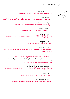### فیسبوک – Facebook : <https://www.facebook.com/help/224562897555674/>

 ټویرت – Twitter : <https://help.twitter.com/en/managing-your-account/how-to-deactivate-twitter-account>

> لینکد ان – LinkedIn : <https://www.linkedin.com/help/linkedin/answer/63?lang=en>

> > انستاګرام – Instagram : <https://help.instagram.com/448136995230186/>

 زیګنال – Signal : [https://support.signal.org/hc/en-us/articles/360007061192-Unregister-or-](https://support.signal.org/hc/en-us/articles/360007061192-Unregister-or-Delete-Account)[Delete-Account](https://support.signal.org/hc/en-us/articles/360007061192-Unregister-or-Delete-Account)

> ټلګرام – Telegram : <https://my.telegram.org/auth?to=delete>

 واتساپ – WhatsApp : [https://faq.whatsapp.com/android/account-and-profile/how-to-delete-your-ac](https://faq.whatsapp.com/android/account-and-profile/how-to-delete-your-account/?lang=en)[count/?lang=en](https://faq.whatsapp.com/android/account-and-profile/how-to-delete-your-account/?lang=en)

 ګوګل – Google : <https://support.google.com/accounts/answer/32046?hl=en> رسبېره پر دې، د دغه لینک په وسیله کولی شئ، د ګوګل په پټه حافظه کې د ذخیره شویو پایلو د حذف غوښتنه هم وکړئ. <https://google.com/webmasters/tools/removals>

مایکروسافت/هاتهیل – Microsoft/Hotmail : [https://support.microsoft.com/en-us/help/12412/microsoft-account-how-to](https://support.microsoft.com/en-us/help/12412/microsoft-account-how-to-close-account)[close-account](https://support.microsoft.com/en-us/help/12412/microsoft-account-how-to-close-account)

> یاهو- Yahoo : <https://en-global.help.yahoo.com/kb/SLN2044.htm>

 پروټون میل – Protonmail : https://[protonmail.com/support/knowledge-base/delete-account/](http://protonmail.com/support/knowledge-base/delete-account/)

## **5.2.**  | څه ډول ټول اکونټونه حذف کړو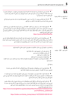**5.3.** 

له عکسونو رسه څنګه برخورد/ چلند وکړو

● ډاډه شئ چې په موبایل کې مو خپل ټول شته عکسونه لیديل او پوهیږئ چې هېڅ یو رس خوږونکی تصویر په کې نه شته. (لکه: د امریکا له بیرغ سره ستاسو خپل عکس، تاسو له بهرنیانو سره، یا ښځې له حجاب پرته، یا تاسو د خپلې کورنۍ له غړو سره په بهر کې.)

● که شک لرئ، ملنځه یې یوسئ. دا د درک وړ ده چې د عکسونو ملنځه وړل به درته سخت وي، خو په پام کې ولرئ چې هغه تاسو او نور په بلقوه ډول له ګواښ سره مخ کوي.

● که غواړئ هغه له ځان رسه وساتئ. نو په کالوډ – Could کې یې ذخیره کړئ او هغه اکونټ چې ورته کارول کیږي باید ستاسو اصيل حساب نه وي. د هغو نوم او پاسورد تر دې پخوا بل هېڅ ځای نه وي ثبت شوی او وروسته یې له خپل تلفون پاک کړئ. د مثال په توګه: ګوګل درایف څه دی او څنګه کارول کیږي؟ په اړه یې دا انګلیيس ویډیو چې فاريس لیکلې ژباړه لري وګورئ. <https://youtu.be/EbVnObwFJic>

● ځینې پروګرامونه شته چې دا امکان تاسو ته برابروي ترڅو خپل عکسونه په یوه دوکه ورکوونکي فولډر کې چې په ظاهر کې بل پروګرام غوندې ښکاري( لکه: مخفی ماشین حساب یا د عکس خصوصی البوم) په کې پټ کړئ. خو پام مو وي دا چلند مصون نه دی، ځکه نور خلک هم د دا ډول پروګرامونو په اړه معلومات لري.

په هغه ویب سایتونو کې چې ممکن د طالبانو ضد معلوم يش له لټون مخکې دا کارونه وکړئ:

- په خپل براوزر کې د خصويص لټون حالت فعال کړئ
	- که ممکن و، Cookies مه دررسه منئ
		- بوک مارکونه مه ذخیره کوئ
	- ډېټا/معلومات یا پاسورد مو مه ذخیره کوئ

● د ګوګل او فیسبوک ویب سایتونو ته له ورننوتو ډډه وکړئ او یا هغه د یوه دریم شخص د ویب سایت اکونټ ته وصل کړئ

په ټوله کې:

● هڅه وکړئ چې له دې مرورکوونکو -براوزرونو (لکه: موزیلا فایرفاکس) څخه کار واخلئ، چې ستاسو له خصوصي حریم ساتنه کوي او د خصوصي حریم ډېر نور تنظیمات فعال کړئ.

● ډاډ ترالسه کړئ، د هغه مصون ویب سایتونو لیدنه مو چې کړې د هغوی یوه مخینه دررسه جوړه کړئ. ) د مثال په توګه: تل د خصوصي حریم په حالت کې فعالیت مه کوئ.) ستاسو کامپیوټر/موبایل باید ښکاره کړي چې ځینې دخويل ګانې لري، ترڅو چې څوک پر تاسو شک ونه کړي.

● ډاډ ترالسه کړئ چې فایر فاکس او ګوګل کروم مرورکوونکو ته نه یې ورداخل شوي.)د مثال په توګه: مطمین شئ چې تاسو د کروم مرورګر ته په خپل ګوګل اکونت/جیمل سره نه یی ورداخل شوي.) که کله هم خپل حساب ته ورداخل شوي یاست، او انرتنت مو مرور کړی وي، ستاسو حساب د ټولو فعالیتونو مخینه ذخیره کوي. د حساس لټون پایلې ملنځه یوسئ

[https://www.humanrightsfirst.org/sites/default/files/How%20to%20delete%20](https://www.humanrightsfirst.org/sites/default/files/How%20to%20delete%20your%20history_updated.pdf)- -[your%20history\\_updated.pdf](https://www.humanrightsfirst.org/sites/default/files/How%20to%20delete%20your%20history_updated.pdf)

https:/[/twitter.com/dooley\\_dooley/status/1427223031429181441](http://twitter.com/dooley_dooley/status/1427223031429181441)

## **5.4.**  انالین لټون – ګوګل – یوتیوب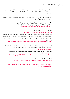د سایت د واقعي محتوا د ملنځه وړلو غوښتنه وکړئ: د پلټنې د پایلو ملنځه وړل د محتوا د ملنځه وړلو سبب نه ګرځي. په هر سایت کې د خپلو اطلاعاتو د لمنځه وړلو لپاره باید د هغه سایت له خاوند سره په اړیکه کی شئ. په یوتیوب او ګوګل کې

● پام مو وي، که تاسو په یوتیوب کې ویدیو لټوئ، دا ممکن په تلفون کې د تاسو په ګوګل حساب کې هم ښکاره کړل يش.)دا دوه حسابونه معموالً رسه وصل وي.(

> ● په منظم ډول په یوتیوب او ګوګل اکونټونو کې د خپل لټون مخینه پاکه کړئ. په ګوګل کې د خپلو فعالیتونو د پاکولو د څرنګوايل لپاره الندې لینک ته مراجعه وکړئ. <https://support.google.com/accounts/answer/465>

»د ځان افشا« الرښود - Guide doxing-Self: <https://guides.accessnow.org/self-doxing.html> ممکن د دغه درک لپاره چې څومره اطالعات د تاسو په اړه په عموم ډول د الس ريس وړ دي او حداقل کچې ته د هغو د راکمولو په برخه کې چې تاسو خطر سره مخ کولی شي، له تاسو سره مرسته وکړي. په ځانګړې توګه هغه فعالان چې زنداني شوي، او د خپلو نظریاتو لپاره تر پوښتونو راغلي. امکان لري چې ډېر ژر د هغه شیانو لپاره مو چې پست کړي دي، هدف وګرځئ. <https://twitter.com/BBCWomansHour/status/1427287851016798213>

که ستا په کوم سایت کې حساسیت پارونکي معلومات وموندل او بیا وتوانېدی چې هغه له ویب سایت څخه حذف کړئ، همداراز د مخصويص صفحې URL چې په هغه کې معلومات و، دلته هم ورداخل کړئ. <https://archive.org/web/>

> که یې ارشیف او ذخیره شوې کاپي موجوده وه، بیا د مرستې لپاه له لاندې ادرس سره په اړیکه کی شئ. help@accessnow.org

> https:/[/cpj.org/2019/09/digital-safety-remove-personal-data-internet/](http://cpj.org/2019/09/digital-safety-remove-personal-data-internet/)

انالین لټون او د وګړو/خلکو د موندنې خدمات: https:/[/github.com/yaelwrites/Big-Ass-Data-Broker-Opt-Out-List](http://github.com/yaelwrites/Big-Ass-Data-Broker-Opt-Out-List)

[https://www.eff.org/deeplinks/2020/12/doxxing-tips-protect-yourself-on](https://www.eff.org/deeplinks/2020/12/doxxingtipsprotectyourselfonlinehowminimizeharm)[line-howminimize-harm](https://www.eff.org/deeplinks/2020/12/doxxingtipsprotectyourselfonlinehowminimizeharm)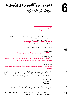

**د موبایل او یا کامپیوټر دې ورکېدو په 6 صورت کې څه وکړو**



که داسې یو څه پېښ يش، ډېره مهمه ده په عاجله ټوګه اقدام وکړئ او وتوانېږئ چې خپل اکونټ/انالن حساب، مخاطبینو او شخيص معلوماتو ته د الس ريس کچه کمه کړئ. زمونږ د بېړنیو ډیجیتايل مرستو الرښود ته پام وکړئ. https:/[/digitalfirstaid.org/en/topics/lost-device/](http://digitalfirstaid.org/en/topics/lost-device/) ځکه باید دا ارزیابي شی چی په به بل پړاو کی څه وکړو.

که ممکن و، تلفون له لرې الرې قفل کړئ او یا یې مواد پاک کړئ.

اندوراید – Andriod : <https://support.google.com/accounts/answer/6160491?hl=en>

سامسونگ – Samsung :

https:/[/www.samsung.com/za/support/mobile-devices/how-do-i-use-find-my-](http://www.samsung.com/za/support/mobile-devices/how-do-i-use-find-my-mobile-to-remotely-wipe-my-samsung-galaxy-s6-edge-plus/) [/mobile-to-remotely-wipe-my-samsung-galaxy-s6-edge-plus](http://www.samsung.com/za/support/mobile-devices/how-do-i-use-find-my-mobile-to-remotely-wipe-my-samsung-galaxy-s6-edge-plus/)

آیفون – iPhone : https://[www.igeeksblog.com/how-to-erase-data-from-lost-stolen-iphone-ipad](http://www.igeeksblog.com/how-to-erase-data-from-lost-stolen-iphone-ipad-remotely/)[remotely/](http://www.igeeksblog.com/how-to-erase-data-from-lost-stolen-iphone-ipad-remotely/)

د ورک شوي تلفون شمېره د ټولنیزو رسنیو له ګروپونو لرې کړئ.(په دې هدف چې د تلفون موندونکی ونتوانیږئ چې ستاسو دغو ټولنیزو ګروپونو ته لاس رسی پیدا کړئ.)، د دغه فعالیت د ترسره کولو لپاره باید له مخکې د هر ګروپ لپاره څو سمبالوونکي ولرئ، ځکه مختلف مدیران/سمبالوونکي کولئ شي دا شمېره په اساني سره پاکه کړئ.

- Whatsapp
	- Signal
	- Telegram ●

د اغیزمن شویو حسابونو/اکونټونو پاسوردونه بدل کړئ، (د بیا ترلاسه کولو / بیاځل تنظیم په ګډون) او 2AF اختیار هم دغه اکونټونو لپاره چې وړتیا یې لري ورته فعال کړئ.

د خپل تلفون د ورکېدو په صورت کې خپل مخاطبین خرب کړئ او همدا راز د هغوی په وړاندې هم د هغه کس لخوا چې تلفون ورسره دی، شته خطر ورته تشریح کړئ، ترڅو پوه وي.  **6.3.** 

 **6.4.**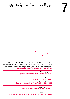خپل اکونټ/حساب بیا ترالسه کړئ



**7**

اکثراْ ټولنیزې رسنۍ، د ایملونو خدمات او نور سایتونه پلاتفورمونه داسې یوه منبع لري چې د تاسو د حساب د بیا ترلاسه کولو سره مرسته کوئ. ډېری پلاتفورمونه په اکونټونو کې د غیر معمول فعالیتونو د راپور ورکونې لارې هم لري. مونږ څو لارښودونه لیست کړي، تاسو سره په دغه برخه کې مرسته وکړي. د ډېجیتالي بېړنیو مرستو لاندې لارښود ته پام وکړئ. | https:/[/digitalfirstaid.org/en/topics/account-access-issues](http://digitalfirstaid.org/en/topics/account-access-issues)

> د ګوګل بیا ترالسه کول : <https://support.google.com/accounts/answer/183723>

 د فیسبوک راپور کول : https://[www.facebook.com/hacked](http://www.facebook.com/hacked) د فیسبوک بیا ترالسه کول : https://[www.facebook.com/notes/10157814523321886/](http://www.facebook.com/notes/10157814523321886/)

> د انستاګرام د مالتړ پړاونه : https:/[/help.instagram.com/149494825257596](http://help.instagram.com/149494825257596)

د ټویتر د ملاتړ پړاونه : https:/[/help.twitter.com/en/safety-and-security/twitter-account-hacked](http://help.twitter.com/en/safety-and-security/twitter-account-hacked)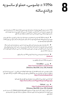**8**

VPNs: د جاسوسۍ، حملو او سانسو په وړاندې ساتنه

VPNs ستاسو د وسیلې )کامپیوټر/موبایل( او د وړاندې کړل شوې خروجي )exit )ترمنځ د VPN په وسیله یو کډ شوی تونل جوړوي. په همدې اساس دا کار هغه ویب سایتونو ته د الس ريس اجازه درکوي چي یا مسدود شوي او یا هم سانسور شوي او ترڅنګ یې په انرتنتي فضا کې ستاسو له فعالیت و ترافیک هم ساتنه کوي.

 ● که پخوا مو له VPN ګټه اخیستې له همغه یوه رسه مخ ته والړ شئ، او چک یې کړئ چې سم کار کوي. په غیر صورت کې له یوه نوي VPN څخه کټه پورته کړئ. او دا کار ممکن ستاسو پام ځان ته راجلب کړئ. چې کوم یو VPN د خلکو ترمنځ د پټېدو لپاره موثر دی.

● دا کار هغه وخت موثر وسېدلی شي له دې مخکې چې تاسو له سانسور سره مخ شئ او یا هم ستاسو دستګاه خاموشه شی، هغه دانلو کړئ. له دغه ابزار څخه استفاده کول ممکن ډېر وخت ستاسو د انترنت وړاندې کوونکی لخوا تثبیت شي، او ستاسو په تلفون کې د یوې نصب شوې برنامې په توګه هغه کس ته چې ستاسو قفل ناشوي تلفون ته لاس رسی لري د مشاهده وړ وي.

> ● له انستال او اجرا وروسته یې یو ځل چک کړئ چې VPN مو سم کار ورکوي: [ipleak.net](http://ipleak.net)

> > د سانسور ضد VPNs له ښه ترک ریکاډونو رسه

 ● تیونل بییر –TunnelBear : [h](http://www.tunnelbear.com/download )ttps://[www.tunnelbear.com/download](http://www.tunnelbear.com/download ) (Windows, MacOSX, Linux, iOS, Android)

یاداشت: تیونل بییر د اوس لپاره په افغانستان کې خپلو استفاده کوونکو ته دې میاشتې تر ۱۰ جي.يب وړیا خدمات لري. په ګوګل اپ ستور کې د موندنې وړ دی، خو کاروونکي یې کولی يش چې یو APK ِ د تلگرام له رسم کانال دانلود کړي. https://[t.me/tunnelbearofficial](http://t.me/tunnelbearofficial)

> کوم کسان چې د تیونل بییر له استفادې سره په ستونزو کې وي، کولئ شي هغه راپور کړئ: https:/[/forms.office.com/Pages/ResponsePage.aspx](http://forms.office.com/Pages/ResponsePage.aspx)

 ● مولواد – Mullvad : https:/[/mullvad.net/en/download/](http://mullvad.net/en/download/) (Windows, MacOSX, Linux, iOS, Android) میاشتنی لګښت 5 یورو؛ د ګټې اخستنې جواز له مرستندویه خطونو (help@accessnow.org) د لاس رسی وړ دی، پېر یې په ناپېژنده او له نوم ثبتونې پرته ترسره کیږي. همدارنګه د ډیجیتالي ارز ترڅنګ کولی شي له نقدو پیسو هم استفاده ويش.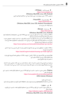● وی.پی.ان.گیت – VPNGate : https:/[/www.vpngate.net](http://www.vpngate.net) (Windows, MacOSX, Linux, iOS, Android) د عمومی VPN د ریلی سرورونو لېست چې په تولنه نړۍ کې د رضاکارانو لخوا کوربه کیږي.

 ● پروټون وی.پی.ان – ProtonVPN : https:/[/protonvpn.com](http://protonvpn.com) (Windows, MacOSX, Linux, iOS, Android, Chromebook) په وړیا توګه د الس ريس وړ دی.

 ● بیت ماسک – Bitmask : https://[bitmask.net](http://bitmask.net) (Windows, MacOSX, Linux, Android) دا VPN یوه خلاصه سرچینه ده. تاسو کولی شئ چی د تیار شویو VPNs څخه چی د riseup.net) یا (caly.net) لخوا وړاندې کیږي ګټه پورته کړئ، او هم خپل یو پیل کړئ. ډېر نور VPNs هم د الس ريس وړ دي، خو ټولو بیا د سانسو د ملنځه وړلو، د ښه امنیت درلودو، د خصويص حریم د ساتنې او یا د ښه تجاريت چلند لپاره موثرې هڅې نه دي کړي. که د ال زیاتو مواردو د امتحانولو په هڅه کې یاست، الندې ادرس ته مراجعه به يو ښه پیل وي: https:/[/www.nytimes.com/wirecutter/reviews/best-vpn-service/](http://www.nytimes.com/wirecutter/reviews/best-vpn-service/)

د VPNs د فعالیت د څرنګوايل په اړه چې دوی څه کوي او ایا کومو برخو ته د ګټې اخستنې وړ نه دي؟ دا الندې لینک یوه ښه منبع ده: https:/[/ssd.eff.org/en/module/choosing-vpn-thats-right-you](http://ssd.eff.org/en/module/choosing-vpn-thats-right-you)

لطفاً یام ولرئ، چې اکثراً (خو ټول نه) د VPN "بیاکتنې" سایتونه د VPN له خرڅلاوي څخه ګټه پورته کوي او/یا د ورته شرکتونو ملکیت دی چې د VPNs ملکیت لري. د سانسور ضد لپاره ځانګړي وسایل:

یو څېړنه ترسره کړئ چې ایا دا برنامې به تاسو ته د خطر د رامنځته کېدو سبب شي. (لکه: د پاملرنې جلب)، که هغه ستاسو په وسایلو(کامپیوټر/مبایل) په نصب شوي شکل وموندل شي او یا هم دا کشف شی چې تاسو له هغو استاده کوئ.

- Psiphon د خالصې منبعې د سانسور د سانسو د لرې کولو VPN دی چې له مختلفو تکتیکو څخه د سانسور د لرې کولو لپاره کار اخيل. <https://www.psiphon3.com/en/download.html> (iOS, Android, Windows)

- د ایمل له الرې دانلود: دغه ادرس ته (get@psiphon3.com) یو ایمل واستوئ، ترڅو د Psiphon دانلود لیکنونه په مختلفو ژبو ترلاسه کړئ.

 ● الټرن – Latern :

- دا د خالصې منبع د سانسور د لرې کولو یو VPN دی چې له مختلفو تکتیکونو څخه د سانسور د لرې کولو په خاطر کار اخيل. [https://etlantern.org/en\\_US/index.html](https://etlantern.org/en_US/index.html  )

(Windows, MacOSX, Linux, iOS, Android)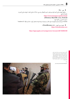● ټوور – Tor :

- د بلقوه ناپېژنده پاتې کېدو لپاره یو براوزر یا مرور کوونکی دی چې د Tor له شبکي څخه د ناپيژنده پاتې کېدو په خاطر کار اخيل.

 https:/[/www.torproject.org/download/](http://www.torproject.org/download/)  ;(Windows, MacOSX, Linux, Android)

د ایمل له الرې یې دانلود کړئ: .<br>GetTor ته یو ایمل ایمل واستوئ، او خپل عامل سیستم او (سیمه) ورته مشخص کړئ. د مثال په توګه: "windows fa"

 $\bullet$  اونیون مرور کوونی - OnionBrowser (iOS):

https:/[/onionbrowser.com](http://onionbrowser.com)

https:/[/apps.apple.com/us/app/onion-browser/id519296448](http://apps.apple.com/us/app/onion-browser/id519296448)

#### —

د افغانستان د پاسپورت عمومي ریاست مشر، علم ګل حقانی له خبریالانو رس له یوې میاشت ځنډ وروسته د ٢٠٢١ کال د ډسامیر په ١٨ نېټه په کابل کې د دغه ریاست د خدماتو پر بېرته فعالېدو خربې کوي چې د ګنه ګونې، د وسایلو د خرابوالي له ځنډ سره مخ شوي وو. هغه ووېل چې اوس ټولو والیتونو کې د ډسامرب له ١٨ نېټې د ورځېد ٣٠٠٠ پاسپورټونو غوښتنلیکونو ته رسېدنه کیږي. د اګست میاشتې له راهیسې ټول افغانستان د طالبانو په واک کې دی. دوی له ١٩٩٦ تر ٢٠٠١ کال هم دلته حکومت کړی، چې نظام یې پر شدیدو رشعي محدودیتونو، د برش حقونو پر رسغړونو او د اتباعو پر پراخ هجرت والړ و.

تصویر:

picture alliance/EPA/MAXIM SHIPENKOV

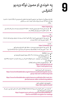**9**

په خوندي او مصون توګه ویدیو کنفرانس

هغه پیام رسوونکي یا مسنجرونه چې د ویدیويي متاسونو زمینه هواري. پام مو وي چې له زیګنال او وایر نه ستاسو په ټولنه کې احتمالاً کار اخیستنه لږ وي او ممکن د توجه د جلب سبب وګرځي. - زیګنال :

#### [https://signal.org](http://signal.org)

- وایر | په بشپړ ډول کډ شوی ویدیويي  $\vec{a}$ اسونه د حداقل 8 کسانو لپاره په یوه وخت په کې کارو کېدای شي.
	- ستاسو د تلفون په شمېر پورې تړلی اپلیکشن دی

#### - وایر :

#### [https://wire.com](http://wire.com)

- په بشپړ ډول کډ شوي ویدیویی  $\vec{z}$ اسونه حداقل څلور کسانو ته پر یوه وخت برابرولی شی.(وړیا ډول خدمات)
	- د تلفون شمريې پرته هم د استفاده وړی دی

#### - واتساپ :

#### [https://whatsapp.com](http://whatsapp.com)

- په بشپړ ډول کډ شوي متاسونه په یوه وخت د حداقل څلور کسانو لپاره وړاندې کوي
- ه د میتا کمپنی یوه برخه ده. (پخوا فیسبوک، په همدې اساس په پام کې ده میتا-دیتا واخستل شي.)

#### جتسی میت- JitsiMeet

- په اعتباري رسورونو کې پر یوه وخت تر ۲۵ مخاطب پورې تصویري اړیکې یولی يش
	- په وړیا ټوګه ګته اخیستنه
- په کامپیوټرونو کې د براوزرونو یا مرور کوونکو له الرې الس رسی ورته ممکن دی، د اندوراید او iOS لپاره هم اپلیکشن لري.
	- د خدماتو باوري او د اعتامد وړ وړاندې کوونکی:

[https://meet.greenhost.net](http://meet.greenhost.net) [https://meet.systemli.org](http://meet.systemli.org)

- په مصون ډول د ګټې اخیستو الرښود:

https:/[/www.frontlinedefenders.org/en/resource-publication/guide-secure](http://www.frontlinedefenders.org/en/resource-publication/guide-secure-group-chat-and-conferencing-tools)[group-chat-and-conferencing-tools](http://www.frontlinedefenders.org/en/resource-publication/guide-secure-group-chat-and-conferencing-tools)

[https://www.frontlinedefenders.org/en/resource-publication/jitsi-meet-sim](https://www.frontlinedefenders.org/en/resource-publication/jitsi-meet-simple-and-secure-video-conferencing-platform)[ple-and-secure-video-conferencing-platform](https://www.frontlinedefenders.org/en/resource-publication/jitsi-meet-simple-and-secure-video-conferencing-platform)

> - د تلفونونو لپاره د اپلیکیشن دانلود: https:/[/jitsi.org/downloads/](http://jitsi.org/downloads/)

- که اړتیا وه چې د انالین کنفرانسو له وسیلو کله us.zoom://https ګټه واخلئ، ځان مطمین کړئ چې د بشپړ کډ کولو خصوصیت یا اختیار فعال کړی.

https://[support.zoom.us/hc/en-us/articles/360048660871-](http://support.zoom.us/hc/en-us/articles/360048660871-End-to-end-E2EE-encryption-for-meetings) [End-to-end-E2EE-encryption-for-meetings](http://support.zoom.us/hc/en-us/articles/360048660871-End-to-end-E2EE-encryption-for-meetings)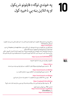# **10**

په خوندې توګه د فایلونو رشیکول او په انالین بڼه یې ذخیره کول

په کامپیوټر کې په خوندي توګه د فایلونو د ذخیره کولو او یا هم په انالین بڼه د ذخیره کولو مخکې په بشپړ ډول د فایلونو د کډ ورکونې لپاره Veracrypt : https:/[/veracrypt.fr](https://veracrypt.fr) اجازه ورکوي چې خپل فایلونه او په یوه کډ شوي فولدر کې په آنالین ډول په Drive Google او یا Dropbox کي ذخیره کړئ او نورو ته د یوه عادي فایل او یا کمپیوټري سیستم په توګه ښکاري.

په دې ډول له Veracrypt څخه د فایلونو له ذخیره کولو وروسته هغه له خپل کامپیوټر څخه پاک کړی او د کامپیوټر د باطلې سطل مو هم پاک کړی. دا چې ویرا-کریپ څنګه کارول کیږي په انګلیيس ژبه دغه ویدیو وګورئ چې په لیکي ډول فاريس ژباړه هم لری.

### https:/[/youtu.be/C25VWAGl7Tw](http://youtu.be/C25VWAGl7Tw)

د فایلونو شریکول | په بشپړ ډول (د کډ کولو ) اختیارونه

#### [/https://ufile.io](https://ufile.io/)

ه د نا راجستر شویو کاروونکو لپاره: نهایتاً 10 فایل ( 5 گیگابایت د هر فایل لپاره)، یوه میاشت وړیا خدمات  $\bullet$ 

#### https:/[/send.tresorit.com/&nbsp](http://send.tresorit.com/ )

ه د نا راجستر شویو کاروونکو لپاره، او تر 5 ګیګابایت پورې د استفادې له قابلیت سره  $\bullet$ 

#### [https://send.tresorit.com/&nbsp](https://send.tresorit.com/ )

● ا پلود یې تر 50 ګیګابایت پورې دی او فایلونو تر ۱۲ ساعتونو زیات نه په کې ذخیره کیږي.

#### [https://cryptpad.fr/drive/&nbsp](https://cryptpad.fr/drive/ )

● په نا پېژنده توګه نوم ثبتونه الزمي ده.| تر یو GB وړیا هاستینګ لري. نوم یې ممکن توجه ځان ته جلب کړي!!!

که تاسو دTor مرور کوونکی یا براوزر کاروئ. https:/[/www.torproject.org/&nbsp](http://www.torproject.org/ ) یا هم OnionShare: https:/[/onionshare.org](http://onionshare.org)

## **101**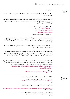انالین ذخیره کول

## **10.2.**

● د انالین ذخیره کولو لپاره یواځې او یواځې له مرور کوونکو یا براوزرونو نه کار واخلئ. په کمیپوټر او موبایل کې نصب شوې برنامې مه کاروئ.

که تاسو Access Could الس ريس لپاره د خپل سازمان رسور کاروئ، متوجه وسئ چې د Link/UR استفاده کېدونکی لینک ممکن ستاسو د سازمان نوم ښکاره کړي او تاسو ته د انترتي خدمات وړاندې کوونکی وتوانیږي چې هغه وویني. په دې برخه کې له VPN ګټه اخستل خطر کموي.

> ● هغه کوم چې تجاريت دي ممکن توجه جلب کړي: 20) https:[/](http://mega.io)/mega.io جی بی وړیا) 5) https:[/](http://sync.com)/sync.com جی.بی وړیا) https:/[/cryptpad.fr/drive](http://cryptpad.fr/drive) نوم ممکن دی د توجه د جلب کېدو سبب شي!!!

OnveDrive ،Drive Google و iCould د بشپړ کډ کولو نوعیت نه لري. له دې امله د هغه څه د مشاهده وړتیا لري چې اپلود کړي مو دي، خو کله چې تاسو هغه وار له مخه نوي حفاظت کړي. ( د مثال په توګه: د کډ کړل شوي ZIP او یا هغه ورته توکو کارونه)

ممکن اړتیا ولرئ چې ځیني اسناد چېرته ذخیره کړئ. ( لکه: د کورنۍ د غړو د پاسپورت کاپي، ستاسو کاري قراردادونه، هغه اسناد چې تاسو ته د متوجه خطر ښکارندیونه کوي.(

د اسنادونو د ذخیره کولو لپاره هغه ښه کار چې کولی شئ، دا دی چې هغه په یوه خوندي (کلاوډ- Could) فضا کې ذخیره کړئ، چې ستاسو له اصل ایمل سره په اړیکه کې نه وي. او یا هم هغه یوه بل مصون ایمل ته ورواستوی چې تاسو کولئ شي الس رسی ورته پیدا کړئ، خو ستاسو اصيل ایمل نه دی، او ستاسو په تلفون او یا هم کامپیوټر کې نه دی ذخیره شوی.

اکادمیسنان/ محصلین څوک چې د حساسو اکادمیکو او یا هم خپلو مهم سندونو د خوندي کولو په هڅه کې دي، کولی شي د Backpack 26 Article طرحې څخه چې د کالفورنیا داویس پوهنتون جوړه کړې، کار واخيل. اسنادونه به په کالوډ فضا کې ذخیره شي. د دغې طرحې د ګتې اخستنې د لارښود په لاندې لینک کې په انګلیسي او دري ژبو وړاندې شوی.  [h](http://human-rights.ucdavis.edu/news/afghanistan-emergency-resource- information)ttps://[human-rights.ucdavis.edu/news/afghanistan-emergency-re](http://human-rights.ucdavis.edu/news/afghanistan-emergency-resource- information) [source-information](http://human-rights.ucdavis.edu/news/afghanistan-emergency-resource- information)

> یا هم دری: [https://backpack.ucdavis.edu/?language=fa](https://backpack.ucdavis.edu/?language=fa )

دا لارښود له افغان خبريالانو سره د مرکو او همدا راز د دغو لاندو لارښونو پر اساس جوړ شوی:

 $\,$  | په افغانستان کې دبشر حقونو مدافعانو لپاره د انلاین خوندیتوب سرچینې  $\,$  | [https://www.accessnow.org/online-safety-resources-afghanistan](https://www.accessnow.org/online-safety-resources-afghanistan ) EN

2 | د افغانانو لپاره چک لیست| په تلفونونو او وسایلو کې د معلوماتو له الرې خطر کم کړئ|

https://[docs.google.com/document/d/19GPJDmMLPagNnbumZwmKZGJaIiRMFmHiJKtuvmL6wl8/edit](http://docs.google.com/document/d/19GPJDmMLPagNnbumZwmKZGJaIiRMFmHiJKtuvmL6wl8/edit) EN, Dari, Pashto

> 3 | د افغانستان لپاره د ډیجیتالي امنیت سرچینې/منابع: د انترنت پرې کېدل او انلاین خصوصي حریم| https://drive.google.com/drive/folders/1v9WvDvoCPjP13Y2Lsd0hqwDt6mqEgvtW EN, Dar

امتیاز